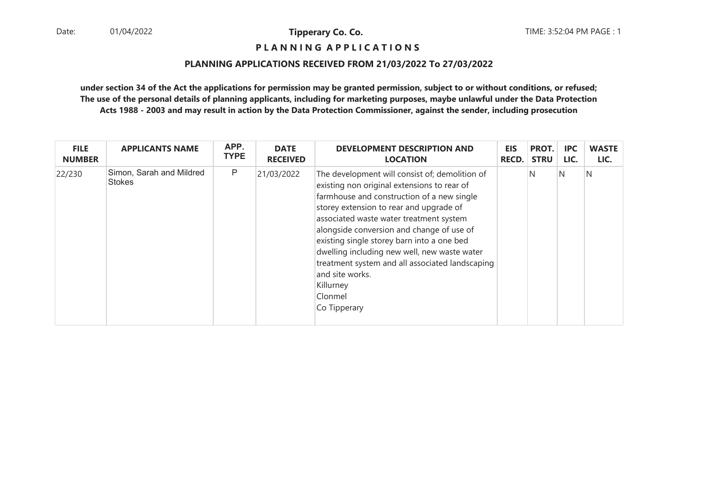**P L A N N I N G A P P L I C A T I O N S** 

#### **PLANNING APPLICATIONS RECEIVED FROM 21/03/2022 To 27/03/2022**

| <b>FILE</b>   | <b>APPLICANTS NAME</b>             | APP.        | <b>DATE</b>     | <b>DEVELOPMENT DESCRIPTION AND</b>                                                                                                                                                                                                                                                                                                                                                                                                                                                         | <b>EIS</b>   | PROT.       | <b>IPC</b> | <b>WASTE</b> |
|---------------|------------------------------------|-------------|-----------------|--------------------------------------------------------------------------------------------------------------------------------------------------------------------------------------------------------------------------------------------------------------------------------------------------------------------------------------------------------------------------------------------------------------------------------------------------------------------------------------------|--------------|-------------|------------|--------------|
| <b>NUMBER</b> |                                    | <b>TYPE</b> | <b>RECEIVED</b> | <b>LOCATION</b>                                                                                                                                                                                                                                                                                                                                                                                                                                                                            | <b>RECD.</b> | <b>STRU</b> | LIC.       | LIC.         |
| 22/230        | Simon, Sarah and Mildred<br>Stokes | P           | 21/03/2022      | The development will consist of; demolition of<br>existing non original extensions to rear of<br>farmhouse and construction of a new single<br>storey extension to rear and upgrade of<br>associated waste water treatment system<br>alongside conversion and change of use of<br>existing single storey barn into a one bed<br>dwelling including new well, new waste water<br>treatment system and all associated landscaping<br>and site works.<br>Killurney<br>Clonmel<br>Co Tipperary |              | N           | IN.        | N            |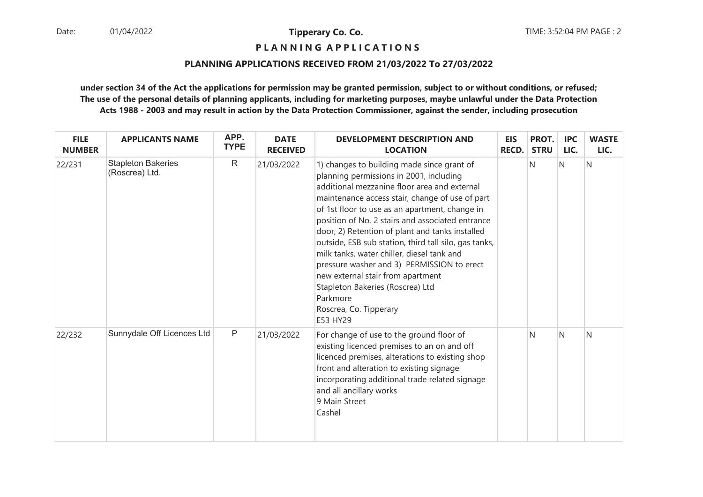**P L A N N I N G A P P L I C A T I O N S** 

#### **PLANNING APPLICATIONS RECEIVED FROM 21/03/2022 To 27/03/2022**

| <b>FILE</b><br><b>NUMBER</b> | <b>APPLICANTS NAME</b>                      | APP.<br><b>TYPE</b> | <b>DATE</b><br><b>RECEIVED</b> | <b>DEVELOPMENT DESCRIPTION AND</b><br><b>LOCATION</b>                                                                                                                                                                                                                                                                                                                                                                                                                                                                                                                                                                             | <b>EIS</b><br><b>RECD.</b> | PROT.<br><b>STRU</b> | <b>IPC</b><br>LIC. | <b>WASTE</b><br>LIC. |
|------------------------------|---------------------------------------------|---------------------|--------------------------------|-----------------------------------------------------------------------------------------------------------------------------------------------------------------------------------------------------------------------------------------------------------------------------------------------------------------------------------------------------------------------------------------------------------------------------------------------------------------------------------------------------------------------------------------------------------------------------------------------------------------------------------|----------------------------|----------------------|--------------------|----------------------|
| 22/231                       | <b>Stapleton Bakeries</b><br>(Roscrea) Ltd. | $\mathsf{R}$        | 21/03/2022                     | 1) changes to building made since grant of<br>planning permissions in 2001, including<br>additional mezzanine floor area and external<br>maintenance access stair, change of use of part<br>of 1st floor to use as an apartment, change in<br>position of No. 2 stairs and associated entrance<br>door, 2) Retention of plant and tanks installed<br>outside, ESB sub station, third tall silo, gas tanks,<br>milk tanks, water chiller, diesel tank and<br>pressure washer and 3) PERMISSION to erect<br>new external stair from apartment<br>Stapleton Bakeries (Roscrea) Ltd<br>Parkmore<br>Roscrea, Co. Tipperary<br>E53 HY29 |                            | N                    | $\overline{N}$     | N                    |
| 22/232                       | Sunnydale Off Licences Ltd                  | $\mathsf P$         | 21/03/2022                     | For change of use to the ground floor of<br>existing licenced premises to an on and off<br>licenced premises, alterations to existing shop<br>front and alteration to existing signage<br>incorporating additional trade related signage<br>and all ancillary works<br>9 Main Street<br>Cashel                                                                                                                                                                                                                                                                                                                                    |                            | N                    | N                  | N                    |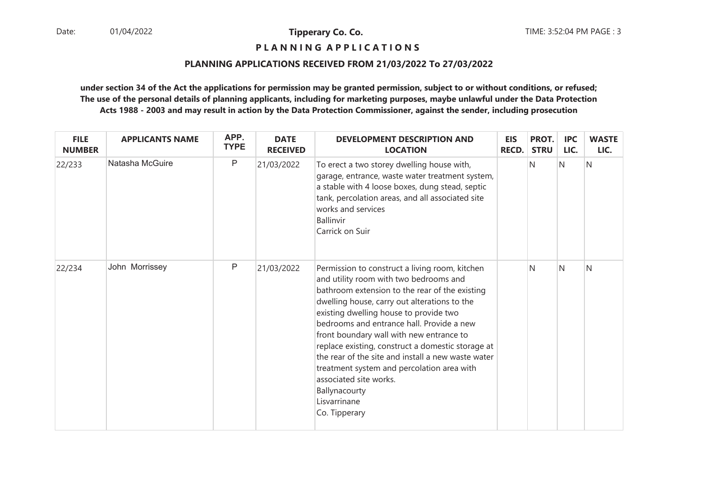**P L A N N I N G A P P L I C A T I O N S** 

#### **PLANNING APPLICATIONS RECEIVED FROM 21/03/2022 To 27/03/2022**

| <b>FILE</b><br><b>NUMBER</b> | <b>APPLICANTS NAME</b> | APP.<br><b>TYPE</b> | <b>DATE</b><br><b>RECEIVED</b> | <b>DEVELOPMENT DESCRIPTION AND</b><br><b>LOCATION</b>                                                                                                                                                                                                                                                                                                                                                                                                                                                                                                              | <b>EIS</b><br><b>RECD.</b> | PROT.<br><b>STRU</b> | <b>IPC</b><br>LIC. | <b>WASTE</b><br>LIC. |
|------------------------------|------------------------|---------------------|--------------------------------|--------------------------------------------------------------------------------------------------------------------------------------------------------------------------------------------------------------------------------------------------------------------------------------------------------------------------------------------------------------------------------------------------------------------------------------------------------------------------------------------------------------------------------------------------------------------|----------------------------|----------------------|--------------------|----------------------|
| 22/233                       | Natasha McGuire        | P                   | 21/03/2022                     | To erect a two storey dwelling house with,<br>garage, entrance, waste water treatment system,<br>a stable with 4 loose boxes, dung stead, septic<br>tank, percolation areas, and all associated site<br>works and services<br>Ballinvir<br>Carrick on Suir                                                                                                                                                                                                                                                                                                         |                            | N                    | N                  | N                    |
| 22/234                       | John Morrissey         | P                   | 21/03/2022                     | Permission to construct a living room, kitchen<br>and utility room with two bedrooms and<br>bathroom extension to the rear of the existing<br>dwelling house, carry out alterations to the<br>existing dwelling house to provide two<br>bedrooms and entrance hall. Provide a new<br>front boundary wall with new entrance to<br>replace existing, construct a domestic storage at<br>the rear of the site and install a new waste water<br>treatment system and percolation area with<br>associated site works.<br>Ballynacourty<br>Lisvarrinane<br>Co. Tipperary |                            | N                    | N                  | N                    |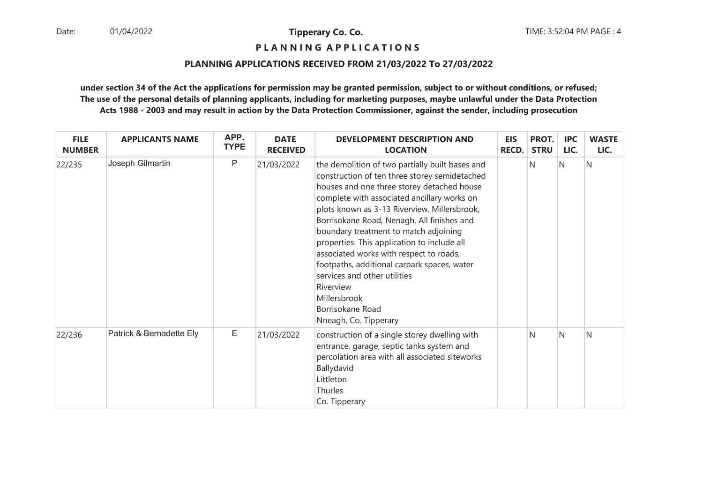**P L A N N I N G A P P L I C A T I O N S** 

#### **PLANNING APPLICATIONS RECEIVED FROM 21/03/2022 To 27/03/2022**

| <b>FILE</b><br><b>NUMBER</b> | <b>APPLICANTS NAME</b>   | APP.<br><b>TYPE</b> | <b>DATE</b><br><b>RECEIVED</b> | <b>DEVELOPMENT DESCRIPTION AND</b><br><b>LOCATION</b>                                                                                                                                                                                                                                                                                                                                                                                                                                                                                                                                   | <b>EIS</b><br><b>RECD.</b> | PROT.<br><b>STRU</b> | <b>IPC</b><br>LIC. | <b>WASTE</b><br>LIC. |
|------------------------------|--------------------------|---------------------|--------------------------------|-----------------------------------------------------------------------------------------------------------------------------------------------------------------------------------------------------------------------------------------------------------------------------------------------------------------------------------------------------------------------------------------------------------------------------------------------------------------------------------------------------------------------------------------------------------------------------------------|----------------------------|----------------------|--------------------|----------------------|
| 22/235                       | Joseph Gilmartin         | P                   | 21/03/2022                     | the demolition of two partially built bases and<br>construction of ten three storey semidetached<br>houses and one three storey detached house<br>complete with associated ancillary works on<br>plots known as 3-13 Riverview, Millersbrook,<br>Borrisokane Road, Nenagh. All finishes and<br>boundary treatment to match adjoining<br>properties. This application to include all<br>associated works with respect to roads,<br>footpaths, additional carpark spaces, water<br>services and other utilities<br>Riverview<br>Millersbrook<br>Borrisokane Road<br>Nneagh, Co. Tipperary |                            | N                    | N                  | N                    |
| 22/236                       | Patrick & Bernadette Ely | E                   | 21/03/2022                     | construction of a single storey dwelling with<br>entrance, garage, septic tanks system and<br>percolation area with all associated siteworks<br>Ballydavid<br>Littleton<br>Thurles<br>Co. Tipperary                                                                                                                                                                                                                                                                                                                                                                                     |                            | N                    | $\mathsf{N}$       | N                    |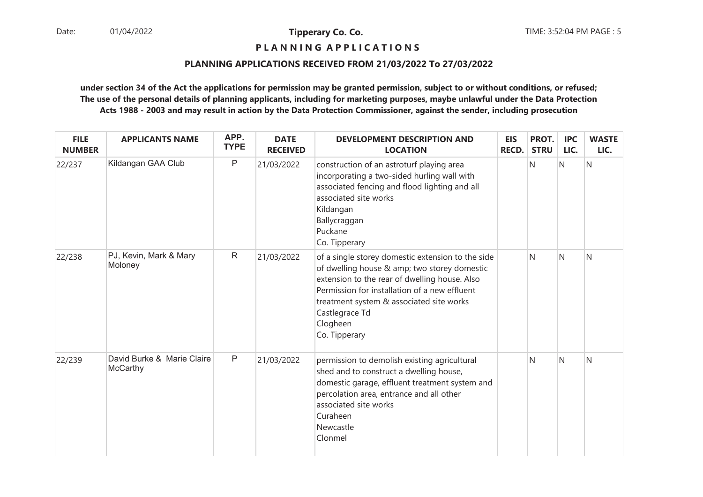**P L A N N I N G A P P L I C A T I O N S** 

#### **PLANNING APPLICATIONS RECEIVED FROM 21/03/2022 To 27/03/2022**

| <b>FILE</b><br><b>NUMBER</b> | <b>APPLICANTS NAME</b>                 | APP.<br><b>TYPE</b> | <b>DATE</b><br><b>RECEIVED</b> | <b>DEVELOPMENT DESCRIPTION AND</b><br><b>LOCATION</b>                                                                                                                                                                                                                                          | <b>EIS</b><br><b>RECD.</b> | PROT.<br><b>STRU</b> | <b>IPC</b><br>LIC. | <b>WASTE</b><br>LIC. |
|------------------------------|----------------------------------------|---------------------|--------------------------------|------------------------------------------------------------------------------------------------------------------------------------------------------------------------------------------------------------------------------------------------------------------------------------------------|----------------------------|----------------------|--------------------|----------------------|
| 22/237                       | Kildangan GAA Club                     | P                   | 21/03/2022                     | construction of an astroturf playing area<br>incorporating a two-sided hurling wall with<br>associated fencing and flood lighting and all<br>associated site works<br>Kildangan<br>Ballycraggan<br>Puckane<br>Co. Tipperary                                                                    |                            | N                    | N                  | Ν                    |
| 22/238                       | PJ, Kevin, Mark & Mary<br>Moloney      | $\mathsf{R}$        | 21/03/2022                     | of a single storey domestic extension to the side<br>of dwelling house & amp; two storey domestic<br>extension to the rear of dwelling house. Also<br>Permission for installation of a new effluent<br>treatment system & associated site works<br>Castlegrace Td<br>Clogheen<br>Co. Tipperary |                            | N                    | N                  | N                    |
| 22/239                       | David Burke & Marie Claire<br>McCarthy | P                   | 21/03/2022                     | permission to demolish existing agricultural<br>shed and to construct a dwelling house,<br>domestic garage, effluent treatment system and<br>percolation area, entrance and all other<br>associated site works<br>Curaheen<br>Newcastle<br>Clonmel                                             |                            | N                    | N                  | Ν                    |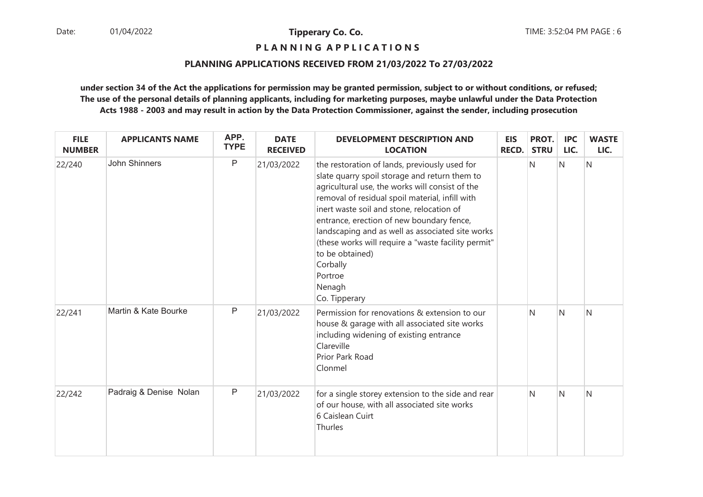**P L A N N I N G A P P L I C A T I O N S** 

#### **PLANNING APPLICATIONS RECEIVED FROM 21/03/2022 To 27/03/2022**

| <b>FILE</b><br><b>NUMBER</b> | <b>APPLICANTS NAME</b> | APP.<br><b>TYPE</b> | <b>DATE</b><br><b>RECEIVED</b> | <b>DEVELOPMENT DESCRIPTION AND</b><br><b>LOCATION</b>                                                                                                                                                                                                                                                                                                                                                                                                                          | <b>EIS</b><br><b>RECD.</b> | PROT.<br><b>STRU</b> | <b>IPC</b><br>LIC. | <b>WASTE</b><br>LIC. |
|------------------------------|------------------------|---------------------|--------------------------------|--------------------------------------------------------------------------------------------------------------------------------------------------------------------------------------------------------------------------------------------------------------------------------------------------------------------------------------------------------------------------------------------------------------------------------------------------------------------------------|----------------------------|----------------------|--------------------|----------------------|
| 22/240                       | John Shinners          | $\mathsf P$         | 21/03/2022                     | the restoration of lands, previously used for<br>slate quarry spoil storage and return them to<br>agricultural use, the works will consist of the<br>removal of residual spoil material, infill with<br>inert waste soil and stone, relocation of<br>entrance, erection of new boundary fence,<br>landscaping and as well as associated site works<br>(these works will require a "waste facility permit"<br>to be obtained)<br>Corbally<br>Portroe<br>Nenagh<br>Co. Tipperary |                            | N                    | N                  | N                    |
| 22/241                       | Martin & Kate Bourke   | $\mathsf{P}$        | 21/03/2022                     | Permission for renovations & extension to our<br>house & garage with all associated site works<br>including widening of existing entrance<br>Clareville<br>Prior Park Road<br>Clonmel                                                                                                                                                                                                                                                                                          |                            | N                    | N                  | N                    |
| 22/242                       | Padraig & Denise Nolan | $\mathsf P$         | 21/03/2022                     | for a single storey extension to the side and rear<br>of our house, with all associated site works<br>6 Caislean Cuirt<br>Thurles                                                                                                                                                                                                                                                                                                                                              |                            | N                    | <sup>N</sup>       | $\mathsf{N}$         |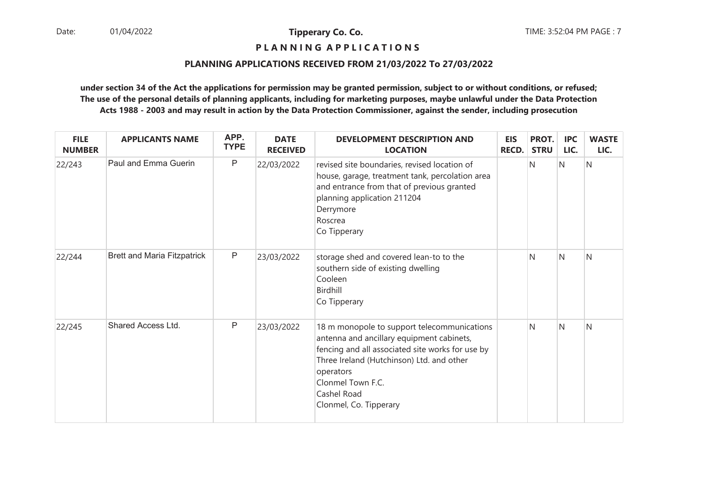# **P L A N N I N G A P P L I C A T I O N S**

#### **PLANNING APPLICATIONS RECEIVED FROM 21/03/2022 To 27/03/2022**

| <b>FILE</b><br><b>NUMBER</b> | <b>APPLICANTS NAME</b>             | APP.<br><b>TYPE</b> | <b>DATE</b><br><b>RECEIVED</b> | <b>DEVELOPMENT DESCRIPTION AND</b><br><b>LOCATION</b>                                                                                                                                                                                                                | <b>EIS</b><br><b>RECD.</b> | PROT.<br><b>STRU</b> | <b>IPC</b><br>LIC. | <b>WASTE</b><br>LIC. |
|------------------------------|------------------------------------|---------------------|--------------------------------|----------------------------------------------------------------------------------------------------------------------------------------------------------------------------------------------------------------------------------------------------------------------|----------------------------|----------------------|--------------------|----------------------|
| 22/243                       | Paul and Emma Guerin               | P                   | 22/03/2022                     | revised site boundaries, revised location of<br>house, garage, treatment tank, percolation area<br>and entrance from that of previous granted<br>planning application 211204<br>Derrymore<br>Roscrea<br>Co Tipperary                                                 |                            | N                    | N                  | N                    |
| 22/244                       | <b>Brett and Maria Fitzpatrick</b> | P                   | 23/03/2022                     | storage shed and covered lean-to to the<br>southern side of existing dwelling<br>Cooleen<br>Birdhill<br>Co Tipperary                                                                                                                                                 |                            | N                    | <sup>N</sup>       | $\mathsf{N}$         |
| 22/245                       | <b>Shared Access Ltd.</b>          | $\mathsf{P}$        | 23/03/2022                     | 18 m monopole to support telecommunications<br>antenna and ancillary equipment cabinets,<br>fencing and all associated site works for use by<br>Three Ireland (Hutchinson) Ltd. and other<br>operators<br>Clonmel Town F.C.<br>Cashel Road<br>Clonmel, Co. Tipperary |                            | N                    | IN.                | N                    |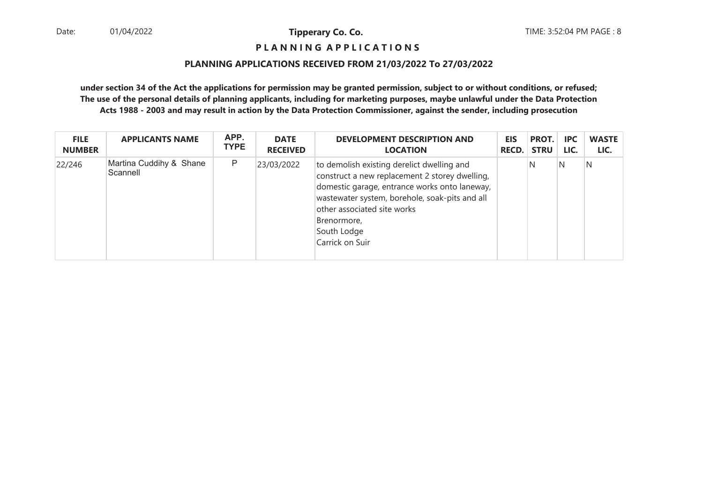# **P L A N N I N G A P P L I C A T I O N S**

#### **PLANNING APPLICATIONS RECEIVED FROM 21/03/2022 To 27/03/2022**

| <b>FILE</b>   | <b>APPLICANTS NAME</b>              | APP.        | <b>DATE</b>     | <b>DEVELOPMENT DESCRIPTION AND</b>                                                                                                                                                                                                                                              | <b>EIS</b>   | PROT.       | <b>IPC</b> | <b>WASTE</b> |
|---------------|-------------------------------------|-------------|-----------------|---------------------------------------------------------------------------------------------------------------------------------------------------------------------------------------------------------------------------------------------------------------------------------|--------------|-------------|------------|--------------|
| <b>NUMBER</b> |                                     | <b>TYPE</b> | <b>RECEIVED</b> | <b>LOCATION</b>                                                                                                                                                                                                                                                                 | <b>RECD.</b> | <b>STRU</b> | LIC.       | LIC.         |
| 22/246        | Martina Cuddihy & Shane<br>Scannell | P           | 23/03/2022      | to demolish existing derelict dwelling and<br>construct a new replacement 2 storey dwelling,<br>domestic garage, entrance works onto laneway,<br>wastewater system, borehole, soak-pits and all<br>other associated site works<br>Brenormore,<br>South Lodge<br>Carrick on Suir |              | N           | N          | N            |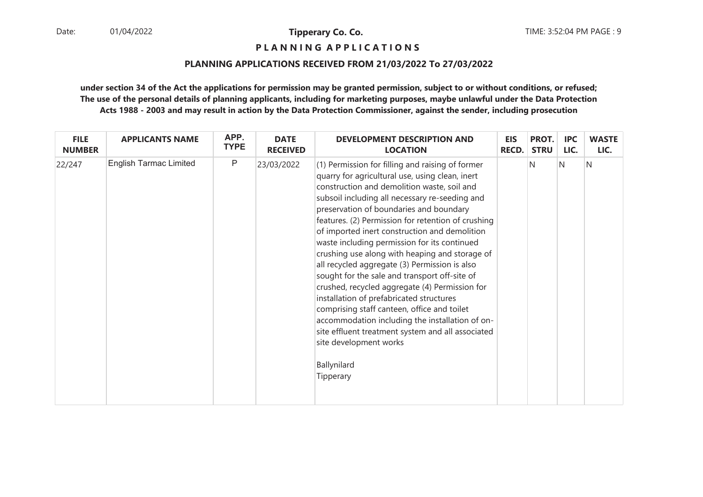**P L A N N I N G A P P L I C A T I O N S** 

#### **PLANNING APPLICATIONS RECEIVED FROM 21/03/2022 To 27/03/2022**

| <b>FILE</b>   | <b>APPLICANTS NAME</b>        | APP.        | <b>DATE</b>     | <b>DEVELOPMENT DESCRIPTION AND</b>                                                                                                                                                                                                                                                                                                                                                                                                                                                                                                                                                                                                                                                                                                                                                                                                                                    | <b>EIS</b> | PROT.       | <b>IPC</b> | <b>WASTE</b> |
|---------------|-------------------------------|-------------|-----------------|-----------------------------------------------------------------------------------------------------------------------------------------------------------------------------------------------------------------------------------------------------------------------------------------------------------------------------------------------------------------------------------------------------------------------------------------------------------------------------------------------------------------------------------------------------------------------------------------------------------------------------------------------------------------------------------------------------------------------------------------------------------------------------------------------------------------------------------------------------------------------|------------|-------------|------------|--------------|
| <b>NUMBER</b> |                               | <b>TYPE</b> | <b>RECEIVED</b> | <b>LOCATION</b>                                                                                                                                                                                                                                                                                                                                                                                                                                                                                                                                                                                                                                                                                                                                                                                                                                                       | RECD.      | <b>STRU</b> | LIC.       | LIC.         |
| 22/247        | <b>English Tarmac Limited</b> | P           | 23/03/2022      | (1) Permission for filling and raising of former<br>quarry for agricultural use, using clean, inert<br>construction and demolition waste, soil and<br>subsoil including all necessary re-seeding and<br>preservation of boundaries and boundary<br>features. (2) Permission for retention of crushing<br>of imported inert construction and demolition<br>waste including permission for its continued<br>crushing use along with heaping and storage of<br>all recycled aggregate (3) Permission is also<br>sought for the sale and transport off-site of<br>crushed, recycled aggregate (4) Permission for<br>installation of prefabricated structures<br>comprising staff canteen, office and toilet<br>accommodation including the installation of on-<br>site effluent treatment system and all associated<br>site development works<br>Ballynilard<br>Tipperary |            | N           | N          | $\mathsf{N}$ |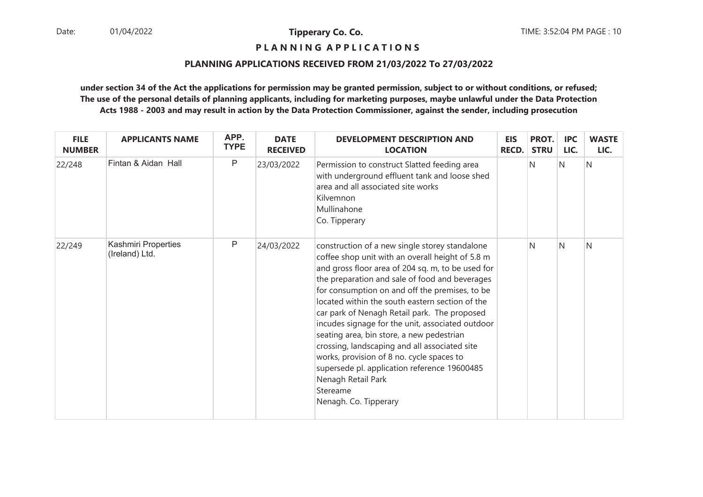**P L A N N I N G A P P L I C A T I O N S** 

#### **PLANNING APPLICATIONS RECEIVED FROM 21/03/2022 To 27/03/2022**

| <b>FILE</b><br><b>NUMBER</b> | <b>APPLICANTS NAME</b>                | APP.<br><b>TYPE</b> | <b>DATE</b><br><b>RECEIVED</b> | <b>DEVELOPMENT DESCRIPTION AND</b><br><b>LOCATION</b>                                                                                                                                                                                                                                                                                                                                                                                                                                                                                                                                                                                                                    | <b>EIS</b><br><b>RECD.</b> | PROT.<br><b>STRU</b> | <b>IPC</b><br>LIC. | <b>WASTE</b><br>LIC. |
|------------------------------|---------------------------------------|---------------------|--------------------------------|--------------------------------------------------------------------------------------------------------------------------------------------------------------------------------------------------------------------------------------------------------------------------------------------------------------------------------------------------------------------------------------------------------------------------------------------------------------------------------------------------------------------------------------------------------------------------------------------------------------------------------------------------------------------------|----------------------------|----------------------|--------------------|----------------------|
| 22/248                       | Fintan & Aidan Hall                   | P                   | 23/03/2022                     | Permission to construct Slatted feeding area<br>with underground effluent tank and loose shed<br>area and all associated site works<br>Kilvemnon<br>Mullinahone<br>Co. Tipperary                                                                                                                                                                                                                                                                                                                                                                                                                                                                                         |                            | N                    | N                  | N                    |
| 22/249                       | Kashmiri Properties<br>(Ireland) Ltd. | P                   | 24/03/2022                     | construction of a new single storey standalone<br>coffee shop unit with an overall height of 5.8 m<br>and gross floor area of 204 sq. m, to be used for<br>the preparation and sale of food and beverages<br>for consumption on and off the premises, to be<br>located within the south eastern section of the<br>car park of Nenagh Retail park. The proposed<br>incudes signage for the unit, associated outdoor<br>seating area, bin store, a new pedestrian<br>crossing, landscaping and all associated site<br>works, provision of 8 no. cycle spaces to<br>supersede pl. application reference 19600485<br>Nenagh Retail Park<br>Stereame<br>Nenagh. Co. Tipperary |                            | N                    | N                  | N                    |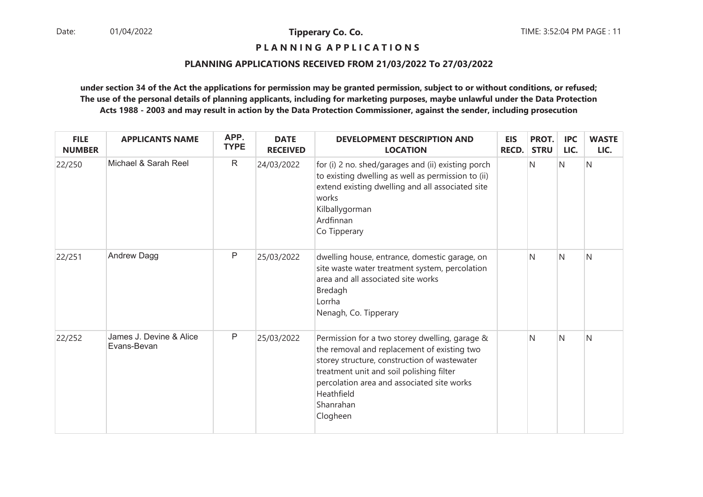# **P L A N N I N G A P P L I C A T I O N S**

#### **PLANNING APPLICATIONS RECEIVED FROM 21/03/2022 To 27/03/2022**

| <b>FILE</b><br><b>NUMBER</b> | <b>APPLICANTS NAME</b>                 | APP.<br><b>TYPE</b> | <b>DATE</b><br><b>RECEIVED</b> | <b>DEVELOPMENT DESCRIPTION AND</b><br><b>LOCATION</b>                                                                                                                                                                                                                          | <b>EIS</b><br><b>RECD.</b> | PROT.<br><b>STRU</b> | <b>IPC</b><br>LIC. | <b>WASTE</b><br>LIC. |
|------------------------------|----------------------------------------|---------------------|--------------------------------|--------------------------------------------------------------------------------------------------------------------------------------------------------------------------------------------------------------------------------------------------------------------------------|----------------------------|----------------------|--------------------|----------------------|
| 22/250                       | Michael & Sarah Reel                   | $\mathsf{R}$        | 24/03/2022                     | for (i) 2 no. shed/garages and (ii) existing porch<br>to existing dwelling as well as permission to (ii)<br>extend existing dwelling and all associated site<br>works<br>Kilballygorman<br>Ardfinnan<br>Co Tipperary                                                           |                            | N                    | N                  | N                    |
| 22/251                       | Andrew Dagg                            | P                   | 25/03/2022                     | dwelling house, entrance, domestic garage, on<br>site waste water treatment system, percolation<br>area and all associated site works<br>Bredagh<br>Lorrha<br>Nenagh, Co. Tipperary                                                                                            |                            | N                    | N                  | N                    |
| 22/252                       | James J. Devine & Alice<br>Evans-Bevan | P                   | 25/03/2022                     | Permission for a two storey dwelling, garage &<br>the removal and replacement of existing two<br>storey structure, construction of wastewater<br>treatment unit and soil polishing filter<br>percolation area and associated site works<br>Heathfield<br>Shanrahan<br>Clogheen |                            | N                    | N                  | N                    |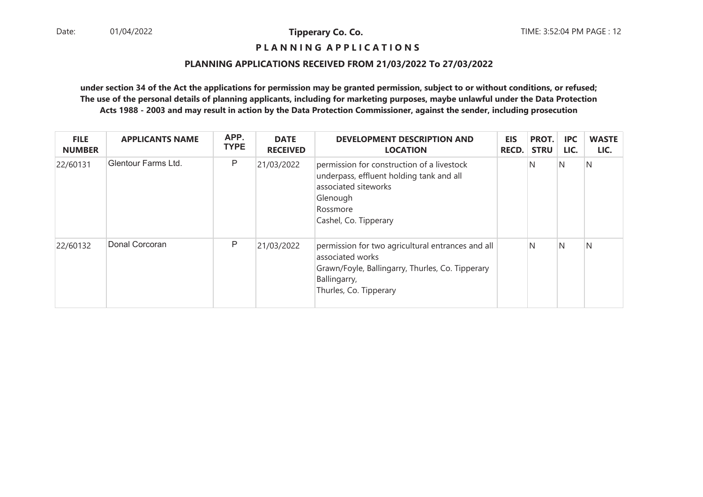# **P L A N N I N G A P P L I C A T I O N S**

#### **PLANNING APPLICATIONS RECEIVED FROM 21/03/2022 To 27/03/2022**

| <b>FILE</b><br><b>NUMBER</b> | <b>APPLICANTS NAME</b> | APP.<br><b>TYPE</b> | <b>DATE</b><br><b>RECEIVED</b> | <b>DEVELOPMENT DESCRIPTION AND</b><br><b>LOCATION</b>                                                                                                               | <b>EIS</b><br><b>RECD.</b> | PROT.<br><b>STRU</b> | <b>IPC</b><br>LIC. | <b>WASTE</b><br>LIC. |
|------------------------------|------------------------|---------------------|--------------------------------|---------------------------------------------------------------------------------------------------------------------------------------------------------------------|----------------------------|----------------------|--------------------|----------------------|
| 22/60131                     | Glentour Farms Ltd.    | P                   | 21/03/2022                     | permission for construction of a livestock<br>underpass, effluent holding tank and all<br>associated siteworks<br>Glenough<br>Rossmore<br>Cashel, Co. Tipperary     |                            | N                    | $\mathsf{N}$       | N                    |
| 22/60132                     | Donal Corcoran         | P                   | 21/03/2022                     | permission for two agricultural entrances and all<br>associated works<br>Grawn/Foyle, Ballingarry, Thurles, Co. Tipperary<br>Ballingarry,<br>Thurles, Co. Tipperary |                            | N                    | IN.                | N                    |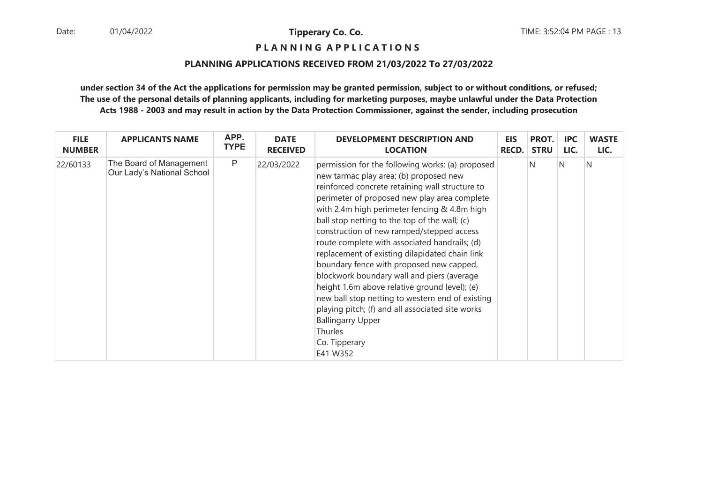# **P L A N N I N G A P P L I C A T I O N S**

#### **PLANNING APPLICATIONS RECEIVED FROM 21/03/2022 To 27/03/2022**

| <b>FILE</b>   | <b>APPLICANTS NAME</b>                                | APP.        | <b>DATE</b>     | <b>DEVELOPMENT DESCRIPTION AND</b>                                                                                                                                                                                                                                                                                                                                                                                                                                                                                                                                                                                                                                                                                                                                           | <b>EIS</b>   | PROT.       | <b>IPC</b> | <b>WASTE</b> |
|---------------|-------------------------------------------------------|-------------|-----------------|------------------------------------------------------------------------------------------------------------------------------------------------------------------------------------------------------------------------------------------------------------------------------------------------------------------------------------------------------------------------------------------------------------------------------------------------------------------------------------------------------------------------------------------------------------------------------------------------------------------------------------------------------------------------------------------------------------------------------------------------------------------------------|--------------|-------------|------------|--------------|
| <b>NUMBER</b> |                                                       | <b>TYPE</b> | <b>RECEIVED</b> | <b>LOCATION</b>                                                                                                                                                                                                                                                                                                                                                                                                                                                                                                                                                                                                                                                                                                                                                              | <b>RECD.</b> | <b>STRU</b> | LIC.       | LIC.         |
| 22/60133      | The Board of Management<br>Our Lady's National School | P           | 22/03/2022      | permission for the following works: (a) proposed<br>new tarmac play area; (b) proposed new<br>reinforced concrete retaining wall structure to<br>perimeter of proposed new play area complete<br>with 2.4m high perimeter fencing & 4.8m high<br>ball stop netting to the top of the wall; (c)<br>construction of new ramped/stepped access<br>route complete with associated handrails; (d)<br>replacement of existing dilapidated chain link<br>boundary fence with proposed new capped,<br>blockwork boundary wall and piers (average<br>height 1.6m above relative ground level); (e)<br>new ball stop netting to western end of existing<br>playing pitch; (f) and all associated site works<br><b>Ballingarry Upper</b><br><b>Thurles</b><br>Co. Tipperary<br>E41 W352 |              | N           | N          | N            |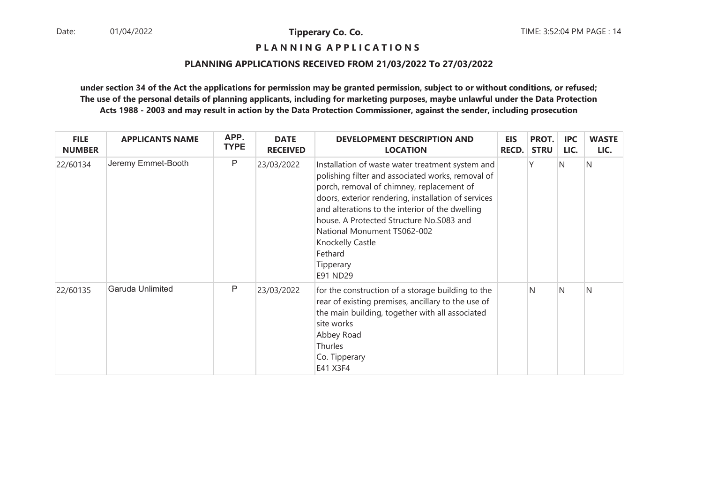**P L A N N I N G A P P L I C A T I O N S** 

#### **PLANNING APPLICATIONS RECEIVED FROM 21/03/2022 To 27/03/2022**

| <b>FILE</b><br><b>NUMBER</b> | <b>APPLICANTS NAME</b> | APP.<br><b>TYPE</b> | <b>DATE</b><br><b>RECEIVED</b> | <b>DEVELOPMENT DESCRIPTION AND</b><br><b>LOCATION</b>                                                                                                                                                                                                                                                                                                                                                  | <b>EIS</b><br><b>RECD.</b> | PROT.<br><b>STRU</b> | <b>IPC</b><br>LIC. | <b>WASTE</b><br>LIC. |
|------------------------------|------------------------|---------------------|--------------------------------|--------------------------------------------------------------------------------------------------------------------------------------------------------------------------------------------------------------------------------------------------------------------------------------------------------------------------------------------------------------------------------------------------------|----------------------------|----------------------|--------------------|----------------------|
| 22/60134                     | Jeremy Emmet-Booth     | P                   | 23/03/2022                     | Installation of waste water treatment system and<br>polishing filter and associated works, removal of<br>porch, removal of chimney, replacement of<br>doors, exterior rendering, installation of services<br>and alterations to the interior of the dwelling<br>house. A Protected Structure No.S083 and<br><b>National Monument TS062-002</b><br>Knockelly Castle<br>Fethard<br>Tipperary<br>E91 ND29 |                            |                      | N                  | N                    |
| 22/60135                     | Garuda Unlimited       | P                   | 23/03/2022                     | for the construction of a storage building to the<br>rear of existing premises, ancillary to the use of<br>the main building, together with all associated<br>site works<br>Abbey Road<br><b>Thurles</b><br>Co. Tipperary<br>E41 X3F4                                                                                                                                                                  |                            | N                    | $\mathsf{N}$       | N                    |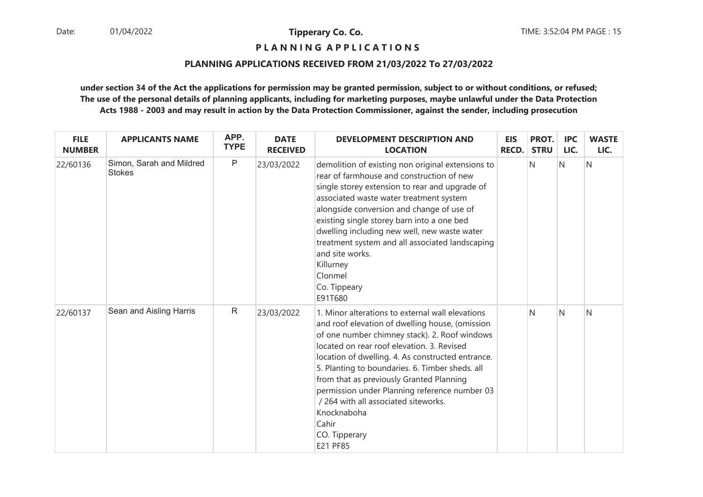**P L A N N I N G A P P L I C A T I O N S** 

#### **PLANNING APPLICATIONS RECEIVED FROM 21/03/2022 To 27/03/2022**

| <b>FILE</b><br><b>NUMBER</b> | <b>APPLICANTS NAME</b>                    | APP.<br><b>TYPE</b> | <b>DATE</b><br><b>RECEIVED</b> | <b>DEVELOPMENT DESCRIPTION AND</b><br><b>LOCATION</b>                                                                                                                                                                                                                                                                                                                                                                                                                                                | <b>EIS</b><br><b>RECD.</b> | PROT.<br><b>STRU</b> | <b>IPC</b><br>LIC. | <b>WASTE</b><br>LIC. |
|------------------------------|-------------------------------------------|---------------------|--------------------------------|------------------------------------------------------------------------------------------------------------------------------------------------------------------------------------------------------------------------------------------------------------------------------------------------------------------------------------------------------------------------------------------------------------------------------------------------------------------------------------------------------|----------------------------|----------------------|--------------------|----------------------|
| 22/60136                     | Simon, Sarah and Mildred<br><b>Stokes</b> | $\mathsf{P}$        | 23/03/2022                     | demolition of existing non original extensions to<br>rear of farmhouse and construction of new<br>single storey extension to rear and upgrade of<br>associated waste water treatment system<br>alongside conversion and change of use of<br>existing single storey barn into a one bed<br>dwelling including new well, new waste water<br>treatment system and all associated landscaping<br>and site works.<br>Killurney<br>Clonmel<br>Co. Tippeary<br>E91T680                                      |                            | N                    | $\overline{N}$     | N                    |
| 22/60137                     | Sean and Aisling Harris                   | $\mathsf{R}$        | 23/03/2022                     | 1. Minor alterations to external wall elevations<br>and roof elevation of dwelling house, (omission<br>of one number chimney stack). 2. Roof windows<br>located on rear roof elevation, 3. Revised<br>location of dwelling. 4. As constructed entrance.<br>5. Planting to boundaries. 6. Timber sheds. all<br>from that as previously Granted Planning<br>permission under Planning reference number 03<br>/ 264 with all associated siteworks.<br>Knocknaboha<br>Cahir<br>CO. Tipperary<br>E21 PF85 |                            | N                    | N                  | N                    |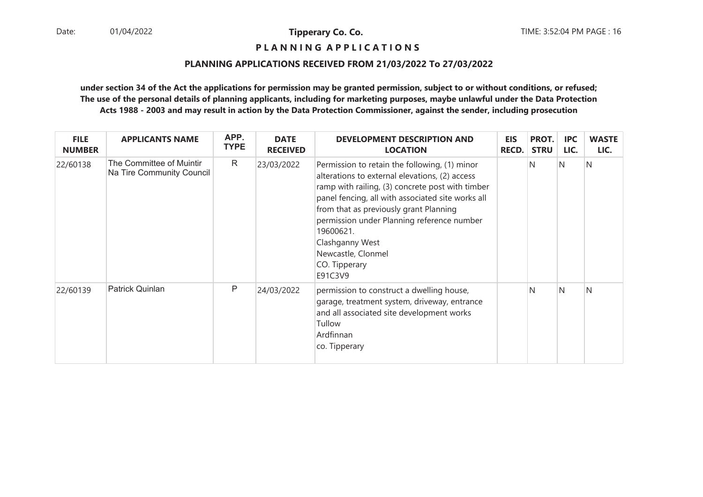# **P L A N N I N G A P P L I C A T I O N S**

#### **PLANNING APPLICATIONS RECEIVED FROM 21/03/2022 To 27/03/2022**

| <b>FILE</b><br><b>NUMBER</b> | <b>APPLICANTS NAME</b>                                | APP.<br><b>TYPE</b> | <b>DATE</b><br><b>RECEIVED</b> | <b>DEVELOPMENT DESCRIPTION AND</b><br><b>LOCATION</b>                                                                                                                                                                                                                                                                                                                              | <b>EIS</b><br><b>RECD.</b> | PROT.<br><b>STRU</b> | <b>IPC</b><br>LIC. | <b>WASTE</b><br>LIC. |
|------------------------------|-------------------------------------------------------|---------------------|--------------------------------|------------------------------------------------------------------------------------------------------------------------------------------------------------------------------------------------------------------------------------------------------------------------------------------------------------------------------------------------------------------------------------|----------------------------|----------------------|--------------------|----------------------|
| 22/60138                     | The Committee of Muintir<br>Na Tire Community Council | R                   | 23/03/2022                     | Permission to retain the following, (1) minor<br>alterations to external elevations, (2) access<br>ramp with railing, (3) concrete post with timber<br>panel fencing, all with associated site works all<br>from that as previously grant Planning<br>permission under Planning reference number<br>19600621.<br>Clashganny West<br>Newcastle, Clonmel<br>CO. Tipperary<br>E91C3V9 |                            | N.                   | N                  | N                    |
| 22/60139                     | Patrick Quinlan                                       | P                   | 24/03/2022                     | permission to construct a dwelling house,<br>garage, treatment system, driveway, entrance<br>and all associated site development works<br>Tullow<br>Ardfinnan<br>co. Tipperary                                                                                                                                                                                                     |                            | N                    | N                  | N                    |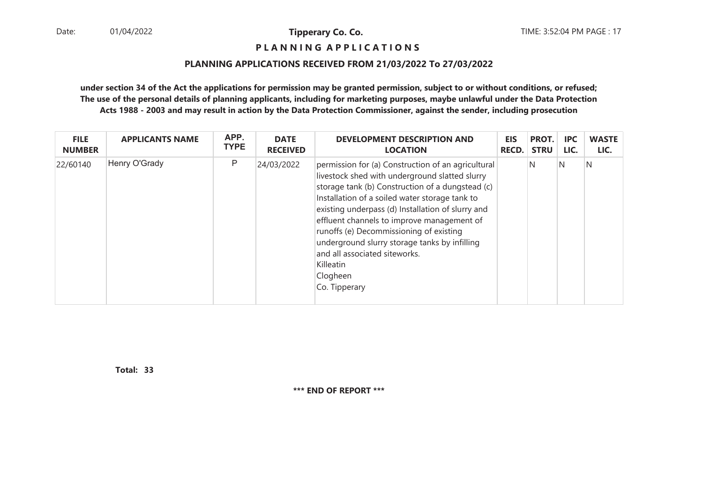**P L A N N I N G A P P L I C A T I O N S** 

#### **PLANNING APPLICATIONS RECEIVED FROM 21/03/2022 To 27/03/2022**

**under section 34 of the Act the applications for permission may be granted permission, subject to or without conditions, or refused; The use of the personal details of planning applicants, including for marketing purposes, maybe unlawful under the Data ProtectionActs 1988 - 2003 and may result in action by the Data Protection Commissioner, against the sender, including prosecution**

| <b>FILE</b>   | <b>APPLICANTS NAME</b> | APP.        | <b>DATE</b>     | <b>DEVELOPMENT DESCRIPTION AND</b>                                                                                                                                                                                                                                                                                                                                                                                                                                                   | <b>EIS</b>   | PROT.       | <b>IPC</b> | <b>WASTE</b> |
|---------------|------------------------|-------------|-----------------|--------------------------------------------------------------------------------------------------------------------------------------------------------------------------------------------------------------------------------------------------------------------------------------------------------------------------------------------------------------------------------------------------------------------------------------------------------------------------------------|--------------|-------------|------------|--------------|
| <b>NUMBER</b> |                        | <b>TYPE</b> | <b>RECEIVED</b> | <b>LOCATION</b>                                                                                                                                                                                                                                                                                                                                                                                                                                                                      | <b>RECD.</b> | <b>STRU</b> | LIC.       | LIC.         |
| 22/60140      | Henry O'Grady          | P           | 24/03/2022      | permission for (a) Construction of an agricultural<br>livestock shed with underground slatted slurry<br>storage tank (b) Construction of a dungstead (c)<br>Installation of a soiled water storage tank to<br>existing underpass (d) Installation of slurry and<br>effluent channels to improve management of<br>runoffs (e) Decommissioning of existing<br>underground slurry storage tanks by infilling<br>and all associated siteworks.<br>Killeatin<br>Clogheen<br>Co. Tipperary |              | N           | IN.        | N            |

**33Total:**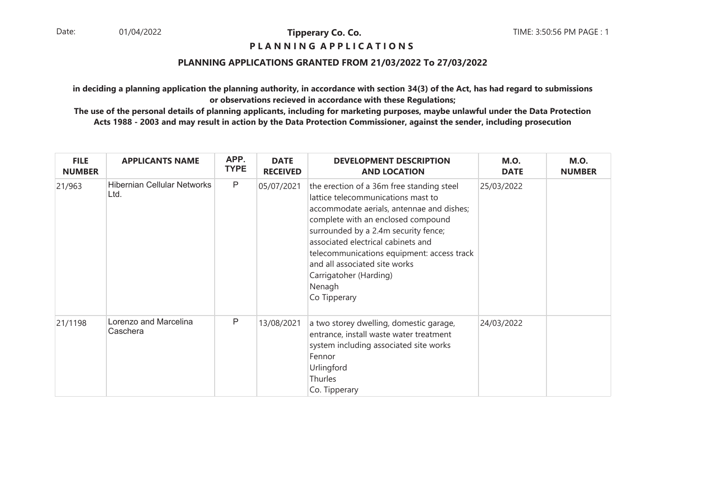## **P L A N N I N G A P P L I C A T I O N S**

## **PLANNING APPLICATIONS GRANTED FROM 21/03/2022 To 27/03/2022**

**in deciding a planning application the planning authority, in accordance with section 34(3) of the Act, has had regard to submissionsor observations recieved in accordance with these Regulations;**

| <b>FILE</b><br><b>NUMBER</b> | <b>APPLICANTS NAME</b>                     | APP.<br><b>TYPE</b> | <b>DATE</b><br><b>RECEIVED</b> | <b>DEVELOPMENT DESCRIPTION</b><br><b>AND LOCATION</b>                                                                                                                                                                                                                                                                                                                               | <b>M.O.</b><br><b>DATE</b> | <b>M.O.</b><br><b>NUMBER</b> |
|------------------------------|--------------------------------------------|---------------------|--------------------------------|-------------------------------------------------------------------------------------------------------------------------------------------------------------------------------------------------------------------------------------------------------------------------------------------------------------------------------------------------------------------------------------|----------------------------|------------------------------|
| 21/963                       | <b>Hibernian Cellular Networks</b><br>Ltd. | P                   | 05/07/2021                     | the erection of a 36m free standing steel<br>lattice telecommunications mast to<br>accommodate aerials, antennae and dishes;<br>complete with an enclosed compound<br>surrounded by a 2.4m security fence;<br>associated electrical cabinets and<br>telecommunications equipment: access track<br>and all associated site works<br>Carrigatoher (Harding)<br>Nenagh<br>Co Tipperary | 25/03/2022                 |                              |
| 21/1198                      | Lorenzo and Marcelina<br>Caschera          | P                   | 13/08/2021                     | a two storey dwelling, domestic garage,<br>entrance, install waste water treatment<br>system including associated site works<br>Fennor<br>Urlingford<br>Thurles<br>Co. Tipperary                                                                                                                                                                                                    | 24/03/2022                 |                              |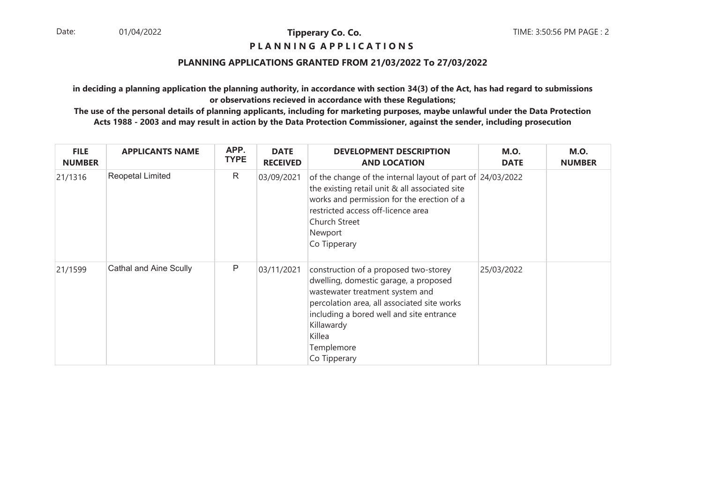# **P L A N N I N G A P P L I C A T I O N S**

#### **PLANNING APPLICATIONS GRANTED FROM 21/03/2022 To 27/03/2022**

**in deciding a planning application the planning authority, in accordance with section 34(3) of the Act, has had regard to submissionsor observations recieved in accordance with these Regulations;**

| <b>FILE</b><br><b>NUMBER</b> | <b>APPLICANTS NAME</b> | APP.<br><b>TYPE</b> | <b>DATE</b><br><b>RECEIVED</b> | <b>DEVELOPMENT DESCRIPTION</b><br><b>AND LOCATION</b>                                                                                                                                                                                                              | <b>M.O.</b><br><b>DATE</b> | <b>M.O.</b><br><b>NUMBER</b> |
|------------------------------|------------------------|---------------------|--------------------------------|--------------------------------------------------------------------------------------------------------------------------------------------------------------------------------------------------------------------------------------------------------------------|----------------------------|------------------------------|
| 21/1316                      | Reopetal Limited       | R                   | 03/09/2021                     | of the change of the internal layout of part of 24/03/2022<br>the existing retail unit & all associated site<br>works and permission for the erection of a<br>restricted access off-licence area<br>Church Street<br>Newport<br>Co Tipperary                       |                            |                              |
| 21/1599                      | Cathal and Aine Scully | P                   | 03/11/2021                     | construction of a proposed two-storey<br>dwelling, domestic garage, a proposed<br>wastewater treatment system and<br>percolation area, all associated site works<br>including a bored well and site entrance<br>Killawardy<br>Killea<br>Templemore<br>Co Tipperary | 25/03/2022                 |                              |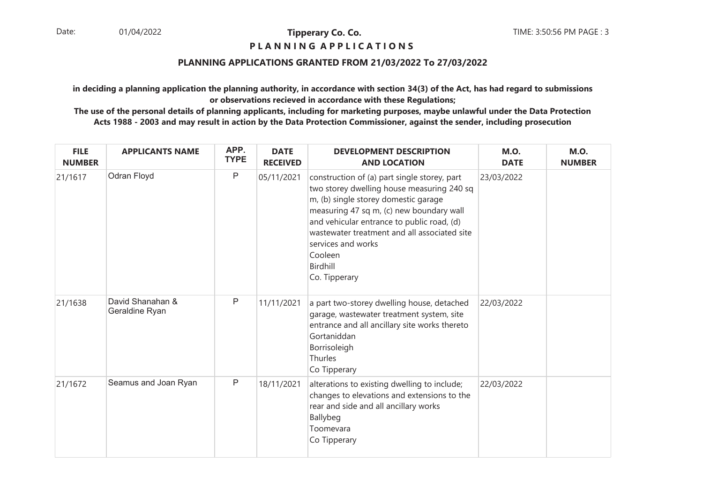#### **P L A N N I N G A P P L I C A T I O N S**

#### **PLANNING APPLICATIONS GRANTED FROM 21/03/2022 To 27/03/2022**

**in deciding a planning application the planning authority, in accordance with section 34(3) of the Act, has had regard to submissionsor observations recieved in accordance with these Regulations;**

| <b>FILE</b><br><b>NUMBER</b> | <b>APPLICANTS NAME</b>             | APP.<br><b>TYPE</b> | <b>DATE</b><br><b>RECEIVED</b> | <b>DEVELOPMENT DESCRIPTION</b><br><b>AND LOCATION</b>                                                                                                                                                                                                                                                                                      | <b>M.O.</b><br><b>DATE</b> | <b>M.O.</b><br><b>NUMBER</b> |
|------------------------------|------------------------------------|---------------------|--------------------------------|--------------------------------------------------------------------------------------------------------------------------------------------------------------------------------------------------------------------------------------------------------------------------------------------------------------------------------------------|----------------------------|------------------------------|
| 21/1617                      | Odran Floyd                        | $\mathsf{P}$        | 05/11/2021                     | construction of (a) part single storey, part<br>two storey dwelling house measuring 240 sq<br>m, (b) single storey domestic garage<br>measuring 47 sq m, (c) new boundary wall<br>and vehicular entrance to public road, (d)<br>wastewater treatment and all associated site<br>services and works<br>Cooleen<br>Birdhill<br>Co. Tipperary | 23/03/2022                 |                              |
| 21/1638                      | David Shanahan &<br>Geraldine Ryan | $\mathsf{P}$        | 11/11/2021                     | a part two-storey dwelling house, detached<br>garage, wastewater treatment system, site<br>entrance and all ancillary site works thereto<br>Gortaniddan<br>Borrisoleigh<br>Thurles<br>Co Tipperary                                                                                                                                         | 22/03/2022                 |                              |
| 21/1672                      | Seamus and Joan Ryan               | $\mathsf{P}$        | 18/11/2021                     | alterations to existing dwelling to include;<br>changes to elevations and extensions to the<br>rear and side and all ancillary works<br>Ballybeg<br>Toomevara<br>Co Tipperary                                                                                                                                                              | 22/03/2022                 |                              |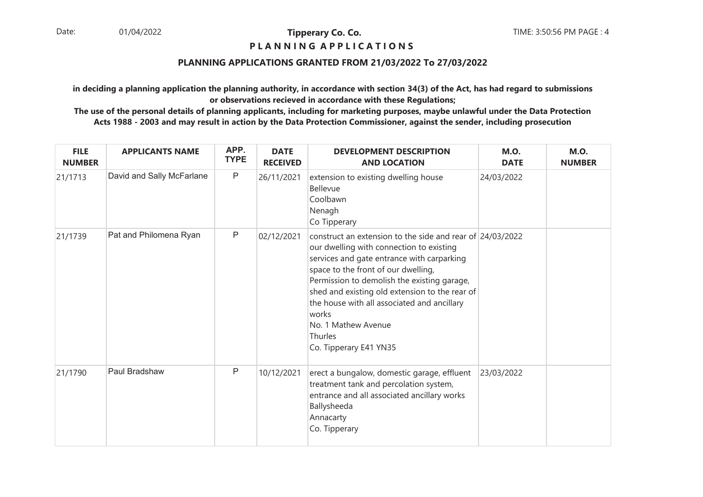## **P L A N N I N G A P P L I C A T I O N S**

## **PLANNING APPLICATIONS GRANTED FROM 21/03/2022 To 27/03/2022**

**in deciding a planning application the planning authority, in accordance with section 34(3) of the Act, has had regard to submissionsor observations recieved in accordance with these Regulations;**

| <b>FILE</b><br><b>NUMBER</b> | <b>APPLICANTS NAME</b>    | APP.<br><b>TYPE</b> | <b>DATE</b><br><b>RECEIVED</b> | <b>DEVELOPMENT DESCRIPTION</b><br><b>AND LOCATION</b>                                                                                                                                                                                                                                                                                                                                                           | <b>M.O.</b><br><b>DATE</b> | <b>M.O.</b><br><b>NUMBER</b> |
|------------------------------|---------------------------|---------------------|--------------------------------|-----------------------------------------------------------------------------------------------------------------------------------------------------------------------------------------------------------------------------------------------------------------------------------------------------------------------------------------------------------------------------------------------------------------|----------------------------|------------------------------|
| 21/1713                      | David and Sally McFarlane | $\mathsf{P}$        | 26/11/2021                     | extension to existing dwelling house<br>Bellevue<br>Coolbawn<br>Nenagh<br>Co Tipperary                                                                                                                                                                                                                                                                                                                          | 24/03/2022                 |                              |
| 21/1739                      | Pat and Philomena Ryan    | $\mathsf{P}$        | 02/12/2021                     | construct an extension to the side and rear of 24/03/2022<br>our dwelling with connection to existing<br>services and gate entrance with carparking<br>space to the front of our dwelling,<br>Permission to demolish the existing garage,<br>shed and existing old extension to the rear of<br>the house with all associated and ancillary<br>works<br>No. 1 Mathew Avenue<br>Thurles<br>Co. Tipperary E41 YN35 |                            |                              |
| 21/1790                      | Paul Bradshaw             | $\mathsf{P}$        | 10/12/2021                     | erect a bungalow, domestic garage, effluent<br>treatment tank and percolation system,<br>entrance and all associated ancillary works<br>Ballysheeda<br>Annacarty<br>Co. Tipperary                                                                                                                                                                                                                               | 23/03/2022                 |                              |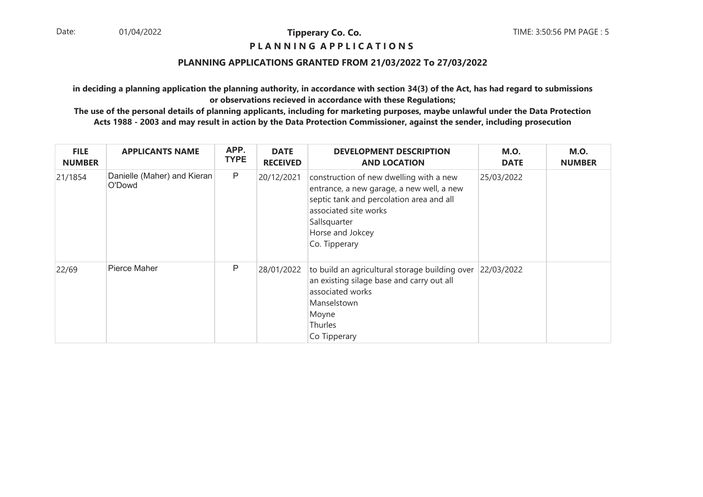#### **P L A N N I N G A P P L I C A T I O N S**

## **PLANNING APPLICATIONS GRANTED FROM 21/03/2022 To 27/03/2022**

**in deciding a planning application the planning authority, in accordance with section 34(3) of the Act, has had regard to submissionsor observations recieved in accordance with these Regulations;**

| <b>FILE</b><br><b>NUMBER</b> | <b>APPLICANTS NAME</b>                | APP.<br><b>TYPE</b> | <b>DATE</b><br><b>RECEIVED</b> | <b>DEVELOPMENT DESCRIPTION</b><br><b>AND LOCATION</b>                                                                                                                                                          | <b>M.O.</b><br><b>DATE</b> | <b>M.O.</b><br><b>NUMBER</b> |
|------------------------------|---------------------------------------|---------------------|--------------------------------|----------------------------------------------------------------------------------------------------------------------------------------------------------------------------------------------------------------|----------------------------|------------------------------|
| 21/1854                      | Danielle (Maher) and Kieran<br>O'Dowd | P                   | 20/12/2021                     | construction of new dwelling with a new<br>entrance, a new garage, a new well, a new<br>septic tank and percolation area and all<br>associated site works<br>Sallsquarter<br>Horse and Jokcey<br>Co. Tipperary | 25/03/2022                 |                              |
| 22/69                        | Pierce Maher                          | P                   | 28/01/2022                     | to build an agricultural storage building over 22/03/2022<br>an existing silage base and carry out all<br>associated works<br>Manselstown<br>Moyne<br>Thurles<br>Co Tipperary                                  |                            |                              |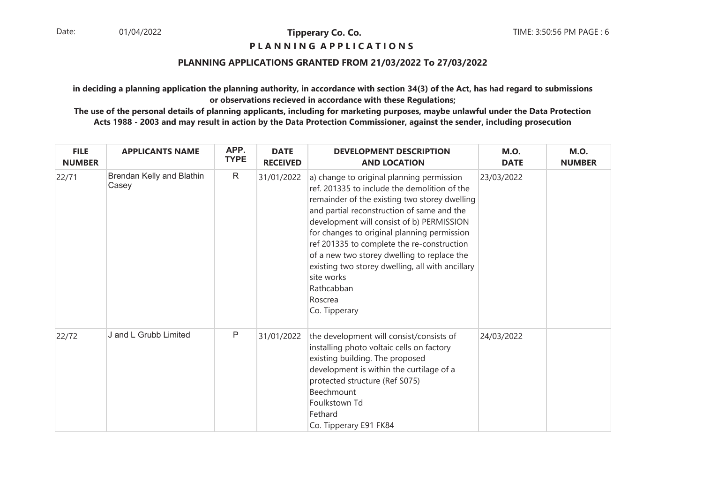## **P L A N N I N G A P P L I C A T I O N S**

## **PLANNING APPLICATIONS GRANTED FROM 21/03/2022 To 27/03/2022**

**in deciding a planning application the planning authority, in accordance with section 34(3) of the Act, has had regard to submissionsor observations recieved in accordance with these Regulations;**

| <b>FILE</b><br><b>NUMBER</b> | <b>APPLICANTS NAME</b>             | APP.<br><b>TYPE</b> | <b>DATE</b><br><b>RECEIVED</b> | <b>DEVELOPMENT DESCRIPTION</b><br><b>AND LOCATION</b>                                                                                                                                                                                                                                                                                                                                                                                                                                         | <b>M.O.</b><br><b>DATE</b> | <b>M.O.</b><br><b>NUMBER</b> |
|------------------------------|------------------------------------|---------------------|--------------------------------|-----------------------------------------------------------------------------------------------------------------------------------------------------------------------------------------------------------------------------------------------------------------------------------------------------------------------------------------------------------------------------------------------------------------------------------------------------------------------------------------------|----------------------------|------------------------------|
| 22/71                        | Brendan Kelly and Blathin<br>Casey | R                   | 31/01/2022                     | a) change to original planning permission<br>ref. 201335 to include the demolition of the<br>remainder of the existing two storey dwelling<br>and partial reconstruction of same and the<br>development will consist of b) PERMISSION<br>for changes to original planning permission<br>ref 201335 to complete the re-construction<br>of a new two storey dwelling to replace the<br>existing two storey dwelling, all with ancillary<br>site works<br>Rathcabban<br>Roscrea<br>Co. Tipperary | 23/03/2022                 |                              |
| 22/72                        | J and L Grubb Limited              | P                   | 31/01/2022                     | the development will consist/consists of<br>installing photo voltaic cells on factory<br>existing building. The proposed<br>development is within the curtilage of a<br>protected structure (Ref S075)<br>Beechmount<br>Foulkstown Td<br>Fethard<br>Co. Tipperary E91 FK84                                                                                                                                                                                                                    | 24/03/2022                 |                              |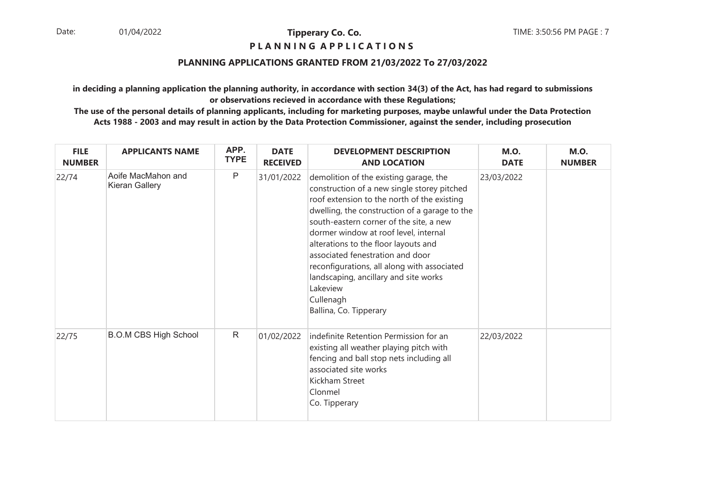## **P L A N N I N G A P P L I C A T I O N S**

#### **PLANNING APPLICATIONS GRANTED FROM 21/03/2022 To 27/03/2022**

**in deciding a planning application the planning authority, in accordance with section 34(3) of the Act, has had regard to submissionsor observations recieved in accordance with these Regulations;**

| <b>FILE</b><br><b>NUMBER</b> | <b>APPLICANTS NAME</b>               | APP.<br><b>TYPE</b> | <b>DATE</b><br><b>RECEIVED</b> | <b>DEVELOPMENT DESCRIPTION</b><br><b>AND LOCATION</b>                                                                                                                                                                                                                                                                                                                                                                                                                                            | <b>M.O.</b><br><b>DATE</b> | <b>M.O.</b><br><b>NUMBER</b> |
|------------------------------|--------------------------------------|---------------------|--------------------------------|--------------------------------------------------------------------------------------------------------------------------------------------------------------------------------------------------------------------------------------------------------------------------------------------------------------------------------------------------------------------------------------------------------------------------------------------------------------------------------------------------|----------------------------|------------------------------|
| 22/74                        | Aoife MacMahon and<br>Kieran Gallery | P                   | 31/01/2022                     | demolition of the existing garage, the<br>construction of a new single storey pitched<br>roof extension to the north of the existing<br>dwelling, the construction of a garage to the<br>south-eastern corner of the site, a new<br>dormer window at roof level, internal<br>alterations to the floor layouts and<br>associated fenestration and door<br>reconfigurations, all along with associated<br>landscaping, ancillary and site works<br>Lakeview<br>Cullenagh<br>Ballina, Co. Tipperary | 23/03/2022                 |                              |
| 22/75                        | <b>B.O.M CBS High School</b>         | R                   | 01/02/2022                     | indefinite Retention Permission for an<br>existing all weather playing pitch with<br>fencing and ball stop nets including all<br>associated site works<br>Kickham Street<br>Clonmel<br>Co. Tipperary                                                                                                                                                                                                                                                                                             | 22/03/2022                 |                              |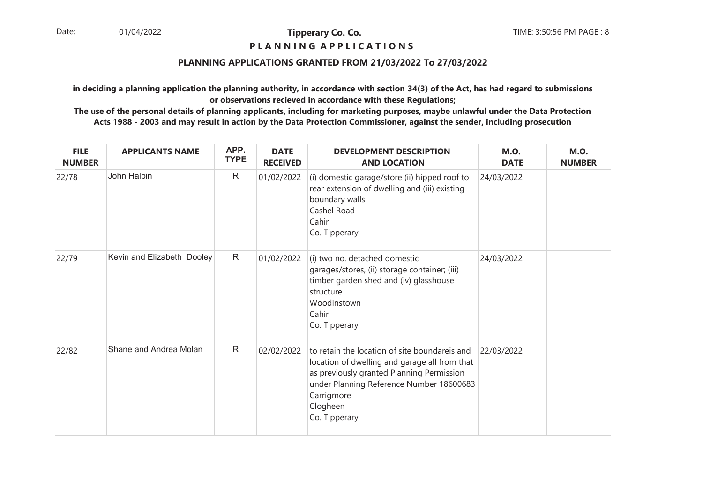## **P L A N N I N G A P P L I C A T I O N S**

## **PLANNING APPLICATIONS GRANTED FROM 21/03/2022 To 27/03/2022**

**in deciding a planning application the planning authority, in accordance with section 34(3) of the Act, has had regard to submissionsor observations recieved in accordance with these Regulations;**

| <b>FILE</b><br><b>NUMBER</b> | <b>APPLICANTS NAME</b>     | APP.<br><b>TYPE</b> | <b>DATE</b><br><b>RECEIVED</b> | <b>DEVELOPMENT DESCRIPTION</b><br><b>AND LOCATION</b>                                                                                                                                                                              | <b>M.O.</b><br><b>DATE</b> | <b>M.O.</b><br><b>NUMBER</b> |
|------------------------------|----------------------------|---------------------|--------------------------------|------------------------------------------------------------------------------------------------------------------------------------------------------------------------------------------------------------------------------------|----------------------------|------------------------------|
| 22/78                        | John Halpin                | $\mathsf{R}$        | 01/02/2022                     | (i) domestic garage/store (ii) hipped roof to<br>rear extension of dwelling and (iii) existing<br>boundary walls<br>Cashel Road<br>Cahir<br>Co. Tipperary                                                                          | 24/03/2022                 |                              |
| 22/79                        | Kevin and Elizabeth Dooley | $\mathsf{R}$        | 01/02/2022                     | (i) two no. detached domestic<br>garages/stores, (ii) storage container; (iii)<br>timber garden shed and (iv) glasshouse<br>structure<br>Woodinstown<br>Cahir<br>Co. Tipperary                                                     | 24/03/2022                 |                              |
| 22/82                        | Shane and Andrea Molan     | $\mathsf{R}$        | 02/02/2022                     | to retain the location of site boundareis and<br>location of dwelling and garage all from that<br>as previously granted Planning Permission<br>under Planning Reference Number 18600683<br>Carrigmore<br>Clogheen<br>Co. Tipperary | 22/03/2022                 |                              |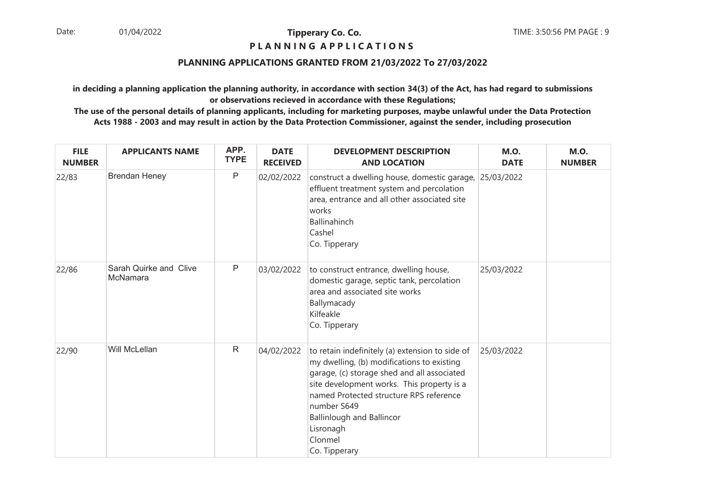## **P L A N N I N G A P P L I C A T I O N S**

## **PLANNING APPLICATIONS GRANTED FROM 21/03/2022 To 27/03/2022**

**in deciding a planning application the planning authority, in accordance with section 34(3) of the Act, has had regard to submissionsor observations recieved in accordance with these Regulations;**

| <b>FILE</b><br><b>NUMBER</b> | <b>APPLICANTS NAME</b>             | APP.<br><b>TYPE</b> | <b>DATE</b><br><b>RECEIVED</b> | <b>DEVELOPMENT DESCRIPTION</b><br><b>AND LOCATION</b>                                                                                                                                                                                                                                                                             | <b>M.O.</b><br><b>DATE</b> | <b>M.O.</b><br><b>NUMBER</b> |
|------------------------------|------------------------------------|---------------------|--------------------------------|-----------------------------------------------------------------------------------------------------------------------------------------------------------------------------------------------------------------------------------------------------------------------------------------------------------------------------------|----------------------------|------------------------------|
| 22/83                        | <b>Brendan Heney</b>               | $\mathsf{P}$        | 02/02/2022                     | construct a dwelling house, domestic garage, 25/03/2022<br>effluent treatment system and percolation<br>area, entrance and all other associated site<br>works<br><b>Ballinahinch</b><br>Cashel<br>Co. Tipperary                                                                                                                   |                            |                              |
| 22/86                        | Sarah Quirke and Clive<br>McNamara | $\mathsf{P}$        | 03/02/2022                     | to construct entrance, dwelling house,<br>domestic garage, septic tank, percolation<br>area and associated site works<br>Ballymacady<br>Kilfeakle<br>Co. Tipperary                                                                                                                                                                | 25/03/2022                 |                              |
| 22/90                        | Will McLellan                      | $\mathsf{R}$        | 04/02/2022                     | to retain indefinitely (a) extension to side of<br>my dwelling, (b) modifications to existing<br>garage, (c) storage shed and all associated<br>site development works. This property is a<br>named Protected structure RPS reference<br>number S649<br><b>Ballinlough and Ballincor</b><br>Lisronagh<br>Clonmel<br>Co. Tipperary | 25/03/2022                 |                              |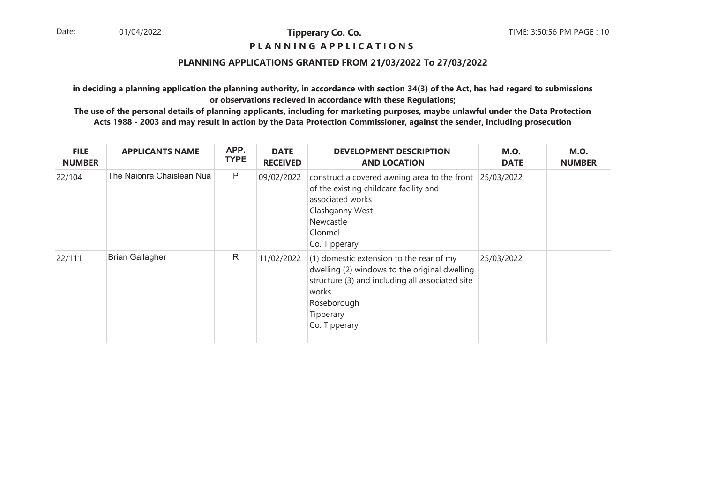#### **P L A N N I N G A P P L I C A T I O N S**

#### **PLANNING APPLICATIONS GRANTED FROM 21/03/2022 To 27/03/2022**

**in deciding a planning application the planning authority, in accordance with section 34(3) of the Act, has had regard to submissionsor observations recieved in accordance with these Regulations;**

| <b>FILE</b><br><b>NUMBER</b> | <b>APPLICANTS NAME</b>    | APP.<br><b>TYPE</b> | <b>DATE</b><br><b>RECEIVED</b> | <b>DEVELOPMENT DESCRIPTION</b><br><b>AND LOCATION</b>                                                                                                                                                | <b>M.O.</b><br><b>DATE</b> | <b>M.O.</b><br><b>NUMBER</b> |
|------------------------------|---------------------------|---------------------|--------------------------------|------------------------------------------------------------------------------------------------------------------------------------------------------------------------------------------------------|----------------------------|------------------------------|
| 22/104                       | The Naionra Chaislean Nua | P                   | 09/02/2022                     | construct a covered awning area to the front $ 25/03/2022 $<br>of the existing childcare facility and<br>associated works<br>Clashganny West<br>Newcastle<br>Clonmel<br>Co. Tipperary                |                            |                              |
| 22/111                       | <b>Brian Gallagher</b>    | R                   | 11/02/2022                     | $(1)$ domestic extension to the rear of my<br>dwelling (2) windows to the original dwelling<br>structure (3) and including all associated site<br>works<br>Roseborough<br>Tipperary<br>Co. Tipperary | 25/03/2022                 |                              |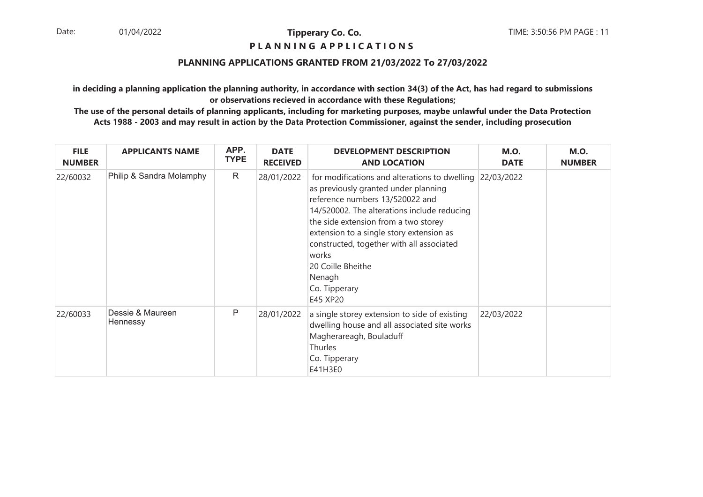#### **P L A N N I N G A P P L I C A T I O N S**

#### **PLANNING APPLICATIONS GRANTED FROM 21/03/2022 To 27/03/2022**

**in deciding a planning application the planning authority, in accordance with section 34(3) of the Act, has had regard to submissionsor observations recieved in accordance with these Regulations;**

| <b>FILE</b><br><b>NUMBER</b> | <b>APPLICANTS NAME</b>       | APP.<br><b>TYPE</b> | <b>DATE</b><br><b>RECEIVED</b> | <b>DEVELOPMENT DESCRIPTION</b><br><b>AND LOCATION</b>                                                                                                                                                                                                                                                                                                                                    | <b>M.O.</b><br><b>DATE</b> | <b>M.O.</b><br><b>NUMBER</b> |
|------------------------------|------------------------------|---------------------|--------------------------------|------------------------------------------------------------------------------------------------------------------------------------------------------------------------------------------------------------------------------------------------------------------------------------------------------------------------------------------------------------------------------------------|----------------------------|------------------------------|
| 22/60032                     | Philip & Sandra Molamphy     | R                   | 28/01/2022                     | for modifications and alterations to dwelling 22/03/2022<br>as previously granted under planning<br>reference numbers 13/520022 and<br>14/520002. The alterations include reducing<br>the side extension from a two storey<br>extension to a single story extension as<br>constructed, together with all associated<br>works<br>20 Coille Bheithe<br>Nenagh<br>Co. Tipperary<br>E45 XP20 |                            |                              |
| 22/60033                     | Dessie & Maureen<br>Hennessy | Ρ                   | 28/01/2022                     | a single storey extension to side of existing<br>dwelling house and all associated site works<br>Magherareagh, Bouladuff<br><b>Thurles</b><br>Co. Tipperary<br>E41H3E0                                                                                                                                                                                                                   | 22/03/2022                 |                              |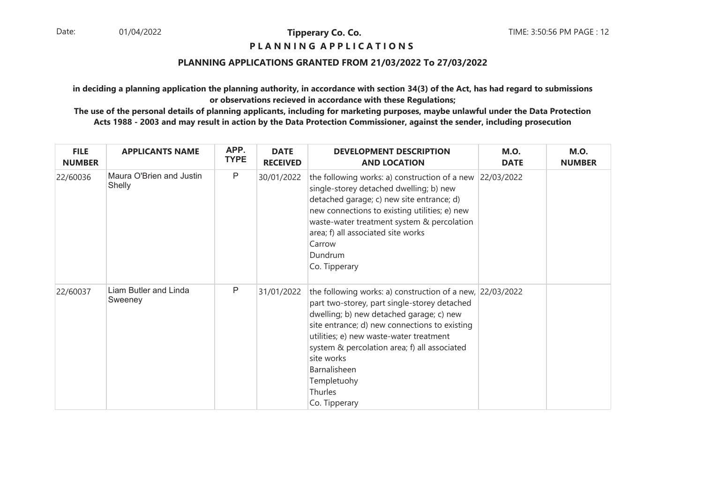#### **P L A N N I N G A P P L I C A T I O N S**

## **PLANNING APPLICATIONS GRANTED FROM 21/03/2022 To 27/03/2022**

**in deciding a planning application the planning authority, in accordance with section 34(3) of the Act, has had regard to submissionsor observations recieved in accordance with these Regulations;**

| <b>FILE</b><br><b>NUMBER</b> | <b>APPLICANTS NAME</b>             | APP.<br><b>TYPE</b> | <b>DATE</b><br><b>RECEIVED</b> | <b>DEVELOPMENT DESCRIPTION</b><br><b>AND LOCATION</b>                                                                                                                                                                                                                                                                                                                        | <b>M.O.</b><br><b>DATE</b> | <b>M.O.</b><br><b>NUMBER</b> |
|------------------------------|------------------------------------|---------------------|--------------------------------|------------------------------------------------------------------------------------------------------------------------------------------------------------------------------------------------------------------------------------------------------------------------------------------------------------------------------------------------------------------------------|----------------------------|------------------------------|
| 22/60036                     | Maura O'Brien and Justin<br>Shelly | $\mathsf{P}$        | 30/01/2022                     | the following works: a) construction of a new $ 22/03/2022 $<br>single-storey detached dwelling; b) new<br>detached garage; c) new site entrance; d)<br>new connections to existing utilities; e) new<br>waste-water treatment system & percolation<br>area; f) all associated site works<br>Carrow<br>Dundrum<br>Co. Tipperary                                              |                            |                              |
| 22/60037                     | Liam Butler and Linda<br>Sweeney   | P                   | 31/01/2022                     | the following works: a) construction of a new, $22/03/2022$<br>part two-storey, part single-storey detached<br>dwelling; b) new detached garage; c) new<br>site entrance; d) new connections to existing<br>utilities; e) new waste-water treatment<br>system & percolation area; f) all associated<br>site works<br>Barnalisheen<br>Templetuohy<br>Thurles<br>Co. Tipperary |                            |                              |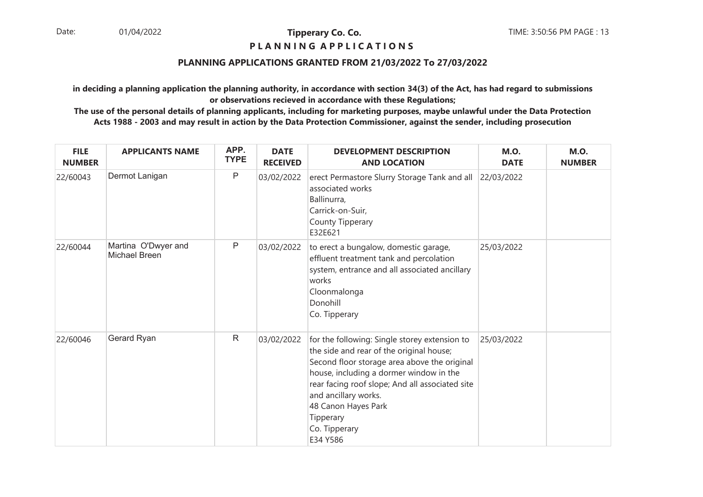#### **P L A N N I N G A P P L I C A T I O N S**

## **PLANNING APPLICATIONS GRANTED FROM 21/03/2022 To 27/03/2022**

**in deciding a planning application the planning authority, in accordance with section 34(3) of the Act, has had regard to submissionsor observations recieved in accordance with these Regulations;**

| <b>FILE</b><br><b>NUMBER</b> | <b>APPLICANTS NAME</b>               | APP.<br><b>TYPE</b> | <b>DATE</b><br><b>RECEIVED</b> | <b>DEVELOPMENT DESCRIPTION</b><br><b>AND LOCATION</b>                                                                                                                                                                                                                                                                            | <b>M.O.</b><br><b>DATE</b> | <b>M.O.</b><br><b>NUMBER</b> |
|------------------------------|--------------------------------------|---------------------|--------------------------------|----------------------------------------------------------------------------------------------------------------------------------------------------------------------------------------------------------------------------------------------------------------------------------------------------------------------------------|----------------------------|------------------------------|
| 22/60043                     | Dermot Lanigan                       | $\mathsf P$         | 03/02/2022                     | erect Permastore Slurry Storage Tank and all<br>associated works<br>Ballinurra,<br>Carrick-on-Suir,<br>County Tipperary<br>E32E621                                                                                                                                                                                               | 22/03/2022                 |                              |
| 22/60044                     | Martina O'Dwyer and<br>Michael Breen | P                   | 03/02/2022                     | to erect a bungalow, domestic garage,<br>effluent treatment tank and percolation<br>system, entrance and all associated ancillary<br>works<br>Cloonmalonga<br>Donohill<br>Co. Tipperary                                                                                                                                          | 25/03/2022                 |                              |
| 22/60046                     | Gerard Ryan                          | $\mathsf{R}$        | 03/02/2022                     | for the following: Single storey extension to<br>the side and rear of the original house;<br>Second floor storage area above the original<br>house, including a dormer window in the<br>rear facing roof slope; And all associated site<br>and ancillary works.<br>48 Canon Hayes Park<br>Tipperary<br>Co. Tipperary<br>E34 Y586 | 25/03/2022                 |                              |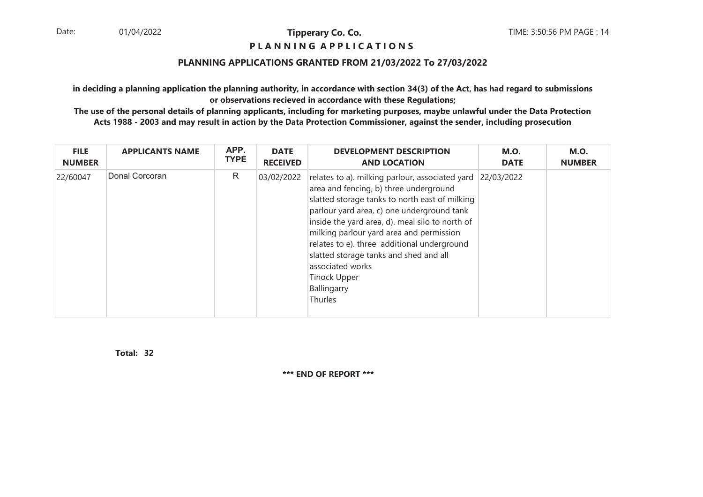## **P L A N N I N G A P P L I C A T I O N S**

#### **PLANNING APPLICATIONS GRANTED FROM 21/03/2022 To 27/03/2022**

**in deciding a planning application the planning authority, in accordance with section 34(3) of the Act, has had regard to submissionsor observations recieved in accordance with these Regulations;**

 **The use of the personal details of planning applicants, including for marketing purposes, maybe unlawful under the Data ProtectionActs 1988 - 2003 and may result in action by the Data Protection Commissioner, against the sender, including prosecution**

| <b>FILE</b>   | <b>APPLICANTS NAME</b> | APP.        | <b>DATE</b>     | <b>DEVELOPMENT DESCRIPTION</b>                                                                                                                                                                                                                                                                                                                                                                                                                         | <b>M.O.</b> | <b>M.O.</b>   |
|---------------|------------------------|-------------|-----------------|--------------------------------------------------------------------------------------------------------------------------------------------------------------------------------------------------------------------------------------------------------------------------------------------------------------------------------------------------------------------------------------------------------------------------------------------------------|-------------|---------------|
| <b>NUMBER</b> |                        | <b>TYPE</b> | <b>RECEIVED</b> | <b>AND LOCATION</b>                                                                                                                                                                                                                                                                                                                                                                                                                                    | <b>DATE</b> | <b>NUMBER</b> |
| 22/60047      | Donal Corcoran         | R           | 03/02/2022      | relates to a). milking parlour, associated yard<br>area and fencing, b) three underground<br>slatted storage tanks to north east of milking<br>parlour yard area, c) one underground tank<br>inside the yard area, d). meal silo to north of<br>milking parlour yard area and permission<br>relates to e). three additional underground<br>slatted storage tanks and shed and all<br>associated works<br><b>Tinock Upper</b><br>Ballingarry<br>Thurles | 22/03/2022  |               |

**32Total:**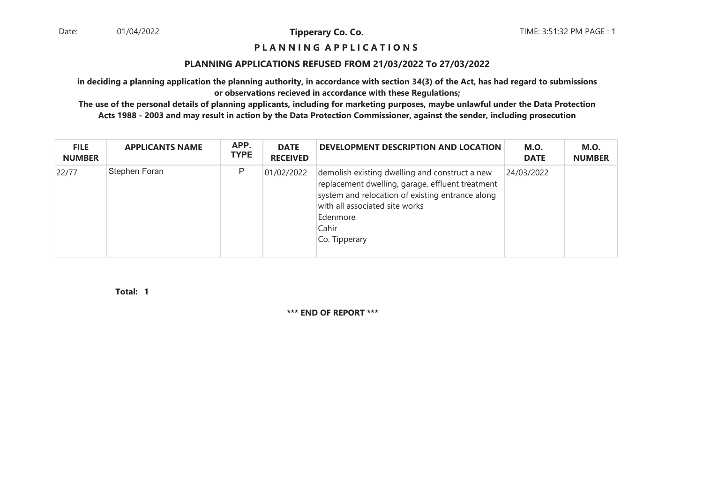#### **P L A N N I N G A P P L I C A T I O N S**

#### **PLANNING APPLICATIONS REFUSED FROM 21/03/2022 To 27/03/2022**

**in deciding a planning application the planning authority, in accordance with section 34(3) of the Act, has had regard to submissionsor observations recieved in accordance with these Regulations;**

 **The use of the personal details of planning applicants, including for marketing purposes, maybe unlawful under the Data ProtectionActs 1988 - 2003 and may result in action by the Data Protection Commissioner, against the sender, including prosecution**

| <b>FILE</b><br><b>NUMBER</b> | <b>APPLICANTS NAME</b> | APP.<br><b>TYPE</b> | <b>DATE</b><br><b>RECEIVED</b> | DEVELOPMENT DESCRIPTION AND LOCATION                                                                                                                                                                                           | <b>M.O.</b><br><b>DATE</b> | <b>M.O.</b><br><b>NUMBER</b> |
|------------------------------|------------------------|---------------------|--------------------------------|--------------------------------------------------------------------------------------------------------------------------------------------------------------------------------------------------------------------------------|----------------------------|------------------------------|
| 22/77                        | Stephen Foran          | P                   | 01/02/2022                     | demolish existing dwelling and construct a new<br>replacement dwelling, garage, effluent treatment<br>system and relocation of existing entrance along<br>with all associated site works<br>Edenmore<br>Cahir<br>Co. Tipperary | 24/03/2022                 |                              |

**1Total:**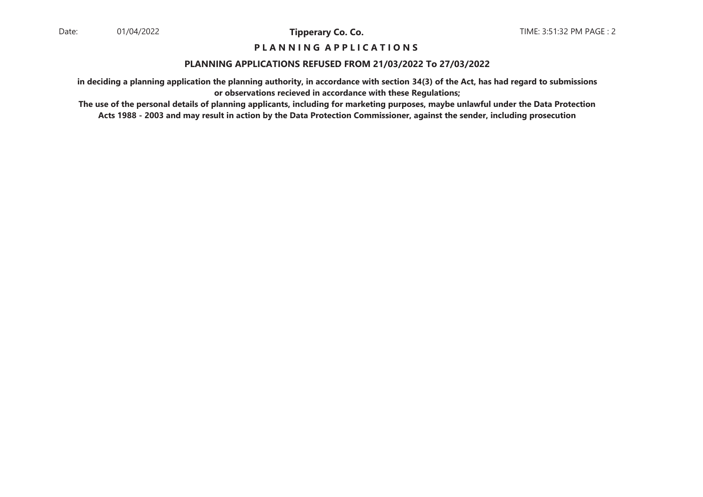## **P L A N N I N G A P P L I C A T I O N S**

#### **PLANNING APPLICATIONS REFUSED FROM 21/03/2022 To 27/03/2022**

**in deciding a planning application the planning authority, in accordance with section 34(3) of the Act, has had regard to submissionsor observations recieved in accordance with these Regulations;**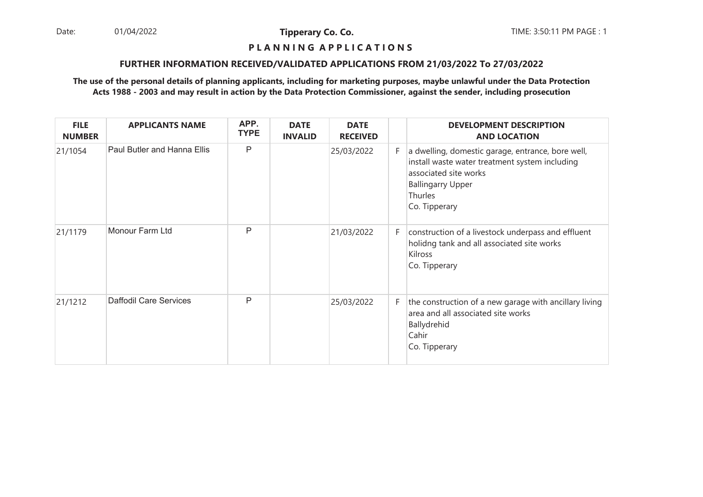Date: 01/04/2022 **Tipperary Co. Co. The:** 3:50:11 PM PAGE : 1 01/04/2022

**Tipperary Co. Co.**

# **P L A N N I N G A P P L I C A T I O N S**

#### **FURTHER INFORMATION RECEIVED/VALIDATED APPLICATIONS FROM 21/03/2022 To 27/03/2022**

| <b>FILE</b><br><b>NUMBER</b> | <b>APPLICANTS NAME</b>             | APP.<br><b>TYPE</b> | <b>DATE</b><br><b>INVALID</b> | <b>DATE</b><br><b>RECEIVED</b> |    | <b>DEVELOPMENT DESCRIPTION</b><br><b>AND LOCATION</b>                                                                                                                                |
|------------------------------|------------------------------------|---------------------|-------------------------------|--------------------------------|----|--------------------------------------------------------------------------------------------------------------------------------------------------------------------------------------|
| 21/1054                      | <b>Paul Butler and Hanna Ellis</b> | P                   |                               | 25/03/2022                     | F. | a dwelling, domestic garage, entrance, bore well,<br>install waste water treatment system including<br>associated site works<br><b>Ballingarry Upper</b><br>Thurles<br>Co. Tipperary |
| 21/1179                      | Monour Farm Ltd                    | P                   |                               | 21/03/2022                     | F. | construction of a livestock underpass and effluent<br>holidng tank and all associated site works<br>Kilross<br>Co. Tipperary                                                         |
| 21/1212                      | <b>Daffodil Care Services</b>      | P                   |                               | 25/03/2022                     | F. | the construction of a new garage with ancillary living<br>area and all associated site works<br>Ballydrehid<br>Cahir<br>Co. Tipperary                                                |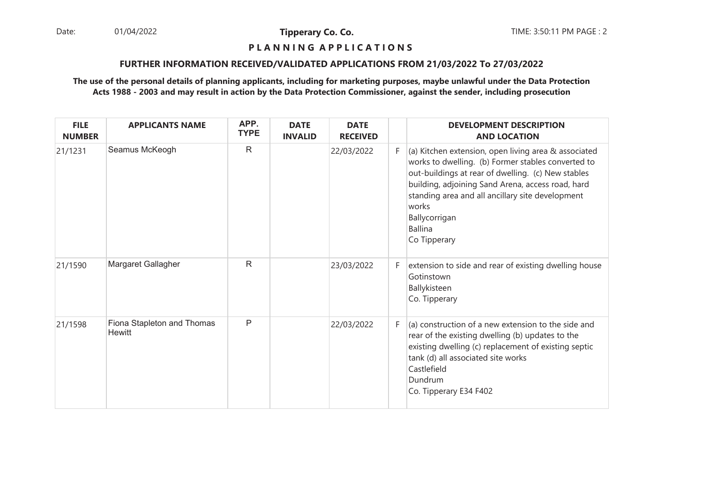Date: 01/04/2022 **Tipperary Co. Co. The Co. Co.** TIME: 3:50:11 PM PAGE : 2 01/04/2022

**Tipperary Co. Co.**

# **P L A N N I N G A P P L I C A T I O N S**

#### **FURTHER INFORMATION RECEIVED/VALIDATED APPLICATIONS FROM 21/03/2022 To 27/03/2022**

| <b>FILE</b><br><b>NUMBER</b> | <b>APPLICANTS NAME</b>               | APP.<br><b>TYPE</b> | <b>DATE</b><br><b>INVALID</b> | <b>DATE</b><br><b>RECEIVED</b> |    | <b>DEVELOPMENT DESCRIPTION</b><br><b>AND LOCATION</b>                                                                                                                                                                                                                                                                          |
|------------------------------|--------------------------------------|---------------------|-------------------------------|--------------------------------|----|--------------------------------------------------------------------------------------------------------------------------------------------------------------------------------------------------------------------------------------------------------------------------------------------------------------------------------|
| 21/1231                      | Seamus McKeogh                       | $\mathsf{R}$        |                               | 22/03/2022                     | F. | (a) Kitchen extension, open living area & associated<br>works to dwelling. (b) Former stables converted to<br>out-buildings at rear of dwelling. (c) New stables<br>building, adjoining Sand Arena, access road, hard<br>standing area and all ancillary site development<br>works<br>Ballycorrigan<br>Ballina<br>Co Tipperary |
| 21/1590                      | Margaret Gallagher                   | $\mathsf{R}$        |                               | 23/03/2022                     | F. | extension to side and rear of existing dwelling house<br>Gotinstown<br>Ballykisteen<br>Co. Tipperary                                                                                                                                                                                                                           |
| 21/1598                      | Fiona Stapleton and Thomas<br>Hewitt | P                   |                               | 22/03/2022                     | F. | (a) construction of a new extension to the side and<br>rear of the existing dwelling (b) updates to the<br>existing dwelling (c) replacement of existing septic<br>tank (d) all associated site works<br>Castlefield<br>Dundrum<br>Co. Tipperary E34 F402                                                                      |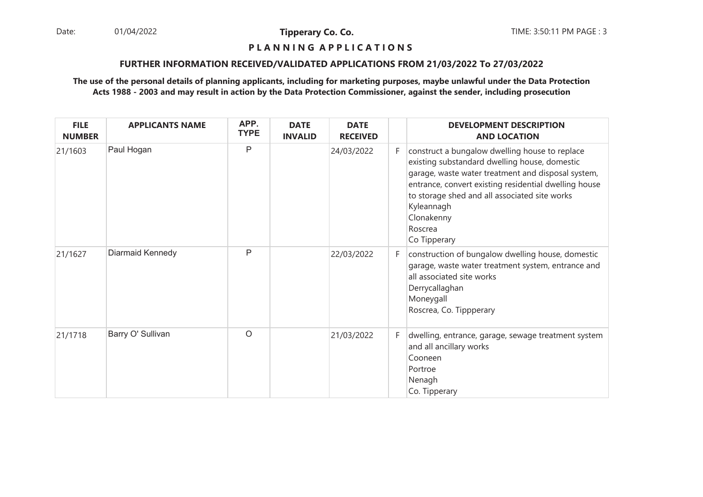Date: 01/04/2022 **Tipperary Co. Co. The:** 3:50:11 PM PAGE : 3 01/04/2022

**Tipperary Co. Co.**

# **P L A N N I N G A P P L I C A T I O N S**

#### **FURTHER INFORMATION RECEIVED/VALIDATED APPLICATIONS FROM 21/03/2022 To 27/03/2022**

| <b>FILE</b><br><b>NUMBER</b> | <b>APPLICANTS NAME</b> | APP.<br><b>TYPE</b> | <b>DATE</b><br><b>INVALID</b> | <b>DATE</b><br><b>RECEIVED</b> |    | <b>DEVELOPMENT DESCRIPTION</b><br><b>AND LOCATION</b>                                                                                                                                                                                                                                                                  |
|------------------------------|------------------------|---------------------|-------------------------------|--------------------------------|----|------------------------------------------------------------------------------------------------------------------------------------------------------------------------------------------------------------------------------------------------------------------------------------------------------------------------|
| 21/1603                      | Paul Hogan             | $\mathsf{P}$        |                               | 24/03/2022                     | F. | construct a bungalow dwelling house to replace<br>existing substandard dwelling house, domestic<br>garage, waste water treatment and disposal system,<br>entrance, convert existing residential dwelling house<br>to storage shed and all associated site works<br>Kyleannagh<br>Clonakenny<br>Roscrea<br>Co Tipperary |
| 21/1627                      | Diarmaid Kennedy       | $\mathsf{P}$        |                               | 22/03/2022                     | F. | construction of bungalow dwelling house, domestic<br>garage, waste water treatment system, entrance and<br>all associated site works<br>Derrycallaghan<br>Moneygall<br>Roscrea, Co. Tippperary                                                                                                                         |
| 21/1718                      | Barry O' Sullivan      | $\circ$             |                               | 21/03/2022                     | F. | dwelling, entrance, garage, sewage treatment system<br>and all ancillary works<br>Cooneen<br>Portroe<br>Nenagh<br>Co. Tipperary                                                                                                                                                                                        |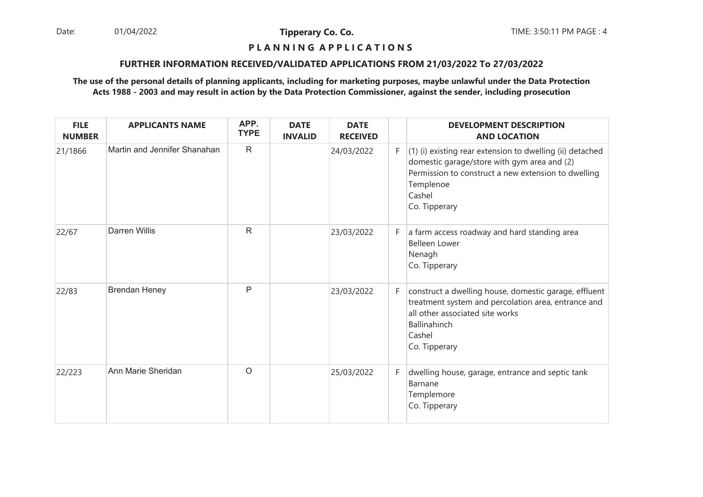Date: 01/04/2022 **Tipperary Co. Co. The Co. Co.** TIME: 3:50:11 PM PAGE : 4 01/04/2022

**Tipperary Co. Co.**

# **P L A N N I N G A P P L I C A T I O N S**

#### **FURTHER INFORMATION RECEIVED/VALIDATED APPLICATIONS FROM 21/03/2022 To 27/03/2022**

| <b>FILE</b><br><b>NUMBER</b> | <b>APPLICANTS NAME</b>       | APP.<br><b>TYPE</b> | <b>DATE</b><br><b>INVALID</b> | <b>DATE</b><br><b>RECEIVED</b> |    | <b>DEVELOPMENT DESCRIPTION</b><br><b>AND LOCATION</b>                                                                                                                                                     |
|------------------------------|------------------------------|---------------------|-------------------------------|--------------------------------|----|-----------------------------------------------------------------------------------------------------------------------------------------------------------------------------------------------------------|
| 21/1866                      | Martin and Jennifer Shanahan | $\mathsf{R}$        |                               | 24/03/2022                     | F  | $(1)$ (i) existing rear extension to dwelling (ii) detached<br>domestic garage/store with gym area and (2)<br>Permission to construct a new extension to dwelling<br>Templenoe<br>Cashel<br>Co. Tipperary |
| 22/67                        | <b>Darren Willis</b>         | $\mathsf{R}$        |                               | 23/03/2022                     | F. | a farm access roadway and hard standing area<br><b>Belleen Lower</b><br>Nenagh<br>Co. Tipperary                                                                                                           |
| 22/83                        | <b>Brendan Heney</b>         | $\mathsf{P}$        |                               | 23/03/2022                     | F  | construct a dwelling house, domestic garage, effluent<br>treatment system and percolation area, entrance and<br>all other associated site works<br><b>Ballinahinch</b><br>Cashel<br>Co. Tipperary         |
| 22/223                       | Ann Marie Sheridan           | $\circ$             |                               | 25/03/2022                     | F. | dwelling house, garage, entrance and septic tank<br>Barnane<br>Templemore<br>Co. Tipperary                                                                                                                |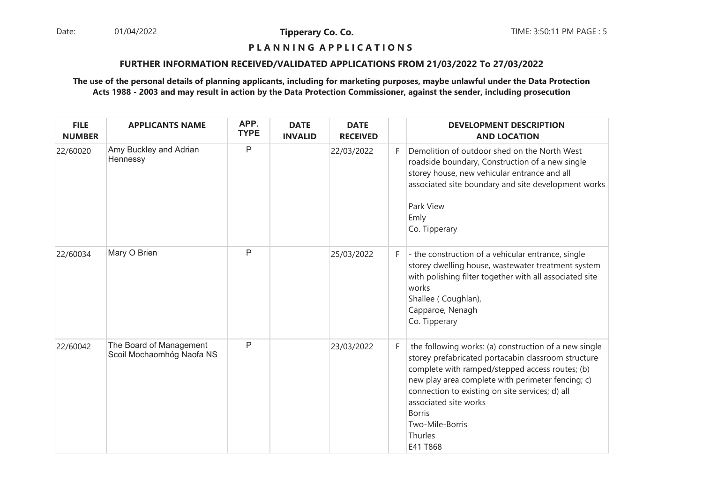Date: 01/04/2022 **Tipperary Co. Co. The:** 3:50:11 PM PAGE : 5 01/04/2022

**Tipperary Co. Co.**

# **P L A N N I N G A P P L I C A T I O N S**

#### **FURTHER INFORMATION RECEIVED/VALIDATED APPLICATIONS FROM 21/03/2022 To 27/03/2022**

| <b>FILE</b><br><b>NUMBER</b> | <b>APPLICANTS NAME</b>                               | APP.<br><b>TYPE</b> | <b>DATE</b><br><b>INVALID</b> | <b>DATE</b><br><b>RECEIVED</b> |    | <b>DEVELOPMENT DESCRIPTION</b><br><b>AND LOCATION</b>                                                                                                                                                                                                                                                                                                       |
|------------------------------|------------------------------------------------------|---------------------|-------------------------------|--------------------------------|----|-------------------------------------------------------------------------------------------------------------------------------------------------------------------------------------------------------------------------------------------------------------------------------------------------------------------------------------------------------------|
| 22/60020                     | Amy Buckley and Adrian<br>Hennessy                   | $\mathsf{P}$        |                               | 22/03/2022                     | F. | Demolition of outdoor shed on the North West<br>roadside boundary, Construction of a new single<br>storey house, new vehicular entrance and all<br>associated site boundary and site development works<br>Park View<br>Emly<br>Co. Tipperary                                                                                                                |
| 22/60034                     | Mary O Brien                                         | P                   |                               | 25/03/2022                     | F. | - the construction of a vehicular entrance, single<br>storey dwelling house, wastewater treatment system<br>with polishing filter together with all associated site<br>works<br>Shallee (Coughlan),<br>Capparoe, Nenagh<br>Co. Tipperary                                                                                                                    |
| 22/60042                     | The Board of Management<br>Scoil Mochaomhóg Naofa NS | $\mathsf{P}$        |                               | 23/03/2022                     | F. | the following works: (a) construction of a new single<br>storey prefabricated portacabin classroom structure<br>complete with ramped/stepped access routes; (b)<br>new play area complete with perimeter fencing; c)<br>connection to existing on site services; d) all<br>associated site works<br><b>Borris</b><br>Two-Mile-Borris<br>Thurles<br>E41 T868 |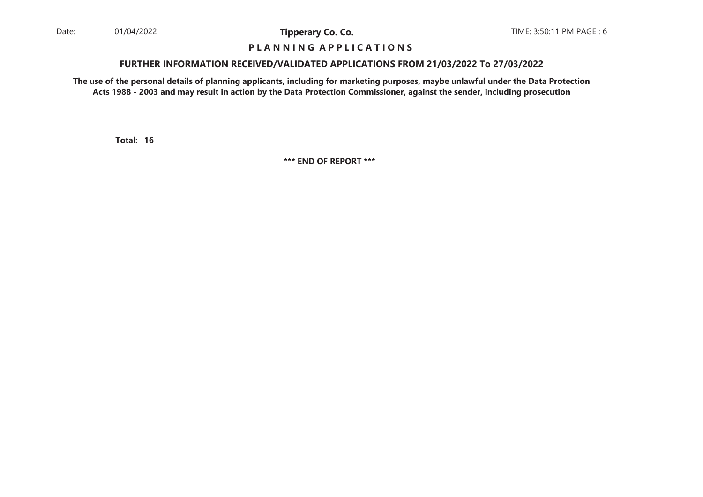#### **P L A N N I N G A P P L I C A T I O N S**

#### **FURTHER INFORMATION RECEIVED/VALIDATED APPLICATIONS FROM 21/03/2022 To 27/03/2022**

**The use of the personal details of planning applicants, including for marketing purposes, maybe unlawful under the Data ProtectionActs 1988 - 2003 and may result in action by the Data Protection Commissioner, against the sender, including prosecution**

**16Total:**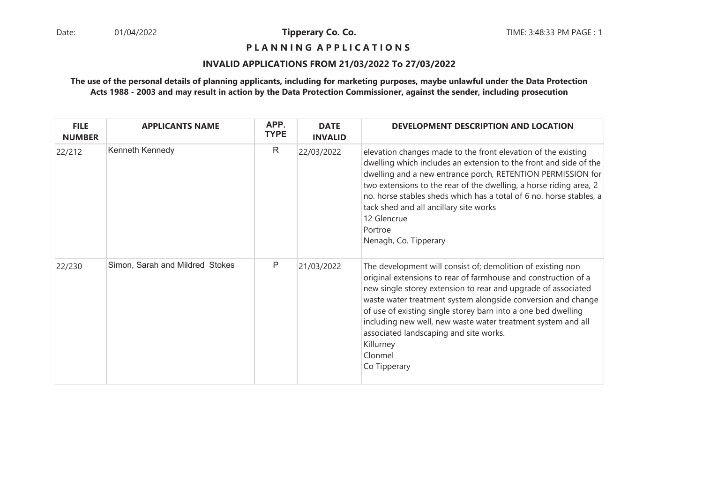**P L A N N I N G A P P L I C A T I O N S** 

#### **INVALID APPLICATIONS FROM 21/03/2022 To 27/03/2022**

| <b>FILE</b><br><b>NUMBER</b> | <b>APPLICANTS NAME</b>          | APP.<br><b>TYPE</b> | <b>DATE</b><br><b>INVALID</b> | DEVELOPMENT DESCRIPTION AND LOCATION                                                                                                                                                                                                                                                                                                                                                                                                                                              |
|------------------------------|---------------------------------|---------------------|-------------------------------|-----------------------------------------------------------------------------------------------------------------------------------------------------------------------------------------------------------------------------------------------------------------------------------------------------------------------------------------------------------------------------------------------------------------------------------------------------------------------------------|
| 22/212                       | Kenneth Kennedy                 | $\mathsf{R}$        | 22/03/2022                    | elevation changes made to the front elevation of the existing<br>dwelling which includes an extension to the front and side of the<br>dwelling and a new entrance porch, RETENTION PERMISSION for<br>two extensions to the rear of the dwelling, a horse riding area, 2<br>no. horse stables sheds which has a total of 6 no. horse stables, a<br>tack shed and all ancillary site works<br>12 Glencrue<br>Portroe<br>Nenagh, Co. Tipperary                                       |
| 22/230                       | Simon, Sarah and Mildred Stokes | Ρ                   | 21/03/2022                    | The development will consist of; demolition of existing non<br>original extensions to rear of farmhouse and construction of a<br>new single storey extension to rear and upgrade of associated<br>waste water treatment system alongside conversion and change<br>of use of existing single storey barn into a one bed dwelling<br>including new well, new waste water treatment system and all<br>associated landscaping and site works.<br>Killurney<br>Clonmel<br>Co Tipperary |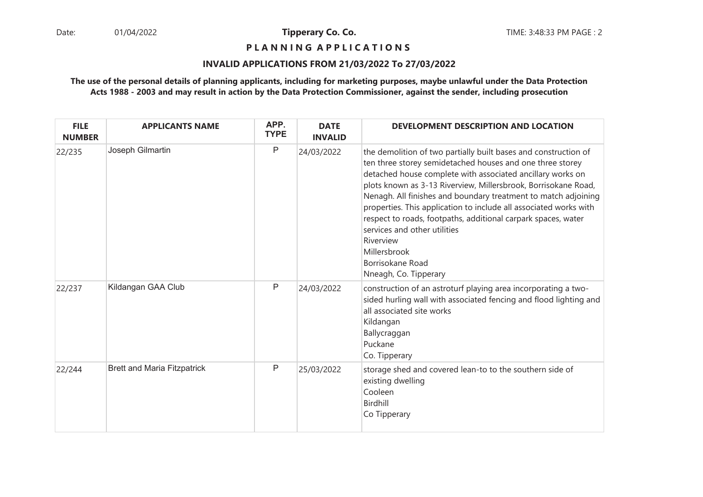**P L A N N I N G A P P L I C A T I O N S** 

#### **INVALID APPLICATIONS FROM 21/03/2022 To 27/03/2022**

| <b>FILE</b><br><b>NUMBER</b> | <b>APPLICANTS NAME</b>             | APP.<br><b>TYPE</b> | <b>DATE</b><br><b>INVALID</b> | DEVELOPMENT DESCRIPTION AND LOCATION                                                                                                                                                                                                                                                                                                                                                                                                                                                                                                                                           |
|------------------------------|------------------------------------|---------------------|-------------------------------|--------------------------------------------------------------------------------------------------------------------------------------------------------------------------------------------------------------------------------------------------------------------------------------------------------------------------------------------------------------------------------------------------------------------------------------------------------------------------------------------------------------------------------------------------------------------------------|
| 22/235                       | Joseph Gilmartin                   | P                   | 24/03/2022                    | the demolition of two partially built bases and construction of<br>ten three storey semidetached houses and one three storey<br>detached house complete with associated ancillary works on<br>plots known as 3-13 Riverview, Millersbrook, Borrisokane Road,<br>Nenagh. All finishes and boundary treatment to match adjoining<br>properties. This application to include all associated works with<br>respect to roads, footpaths, additional carpark spaces, water<br>services and other utilities<br>Riverview<br>Millersbrook<br>Borrisokane Road<br>Nneagh, Co. Tipperary |
| 22/237                       | Kildangan GAA Club                 | Ρ                   | 24/03/2022                    | construction of an astroturf playing area incorporating a two-<br>sided hurling wall with associated fencing and flood lighting and<br>all associated site works<br>Kildangan<br>Ballycraggan<br>Puckane<br>Co. Tipperary                                                                                                                                                                                                                                                                                                                                                      |
| 22/244                       | <b>Brett and Maria Fitzpatrick</b> | Ρ                   | 25/03/2022                    | storage shed and covered lean-to to the southern side of<br>existing dwelling<br>Cooleen<br>Birdhill<br>Co Tipperary                                                                                                                                                                                                                                                                                                                                                                                                                                                           |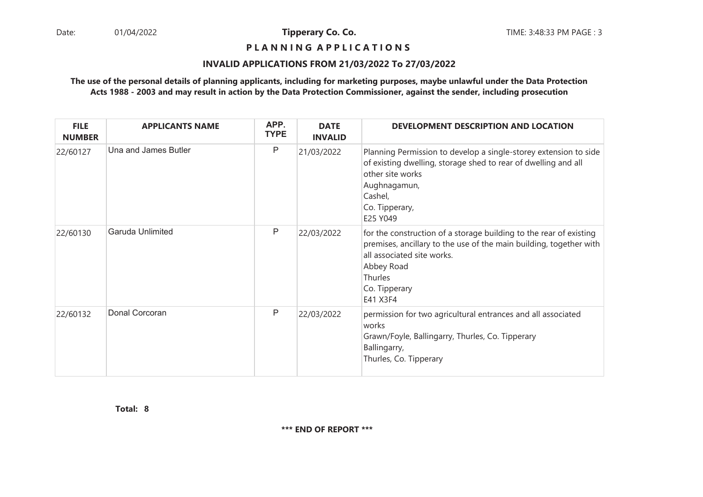**P L A N N I N G A P P L I C A T I O N S** 

#### **INVALID APPLICATIONS FROM 21/03/2022 To 27/03/2022**

## **The use of the personal details of planning applicants, including for marketing purposes, maybe unlawful under the Data ProtectionActs 1988 - 2003 and may result in action by the Data Protection Commissioner, against the sender, including prosecution**

| <b>FILE</b><br><b>NUMBER</b> | <b>APPLICANTS NAME</b> | APP.<br><b>TYPE</b> | <b>DATE</b><br><b>INVALID</b> | DEVELOPMENT DESCRIPTION AND LOCATION                                                                                                                                                                                         |
|------------------------------|------------------------|---------------------|-------------------------------|------------------------------------------------------------------------------------------------------------------------------------------------------------------------------------------------------------------------------|
| 22/60127                     | Una and James Butler   | P                   | 21/03/2022                    | Planning Permission to develop a single-storey extension to side<br>of existing dwelling, storage shed to rear of dwelling and all<br>other site works<br>Aughnagamun,<br>Cashel,<br>Co. Tipperary,<br>E25 Y049              |
| 22/60130                     | Garuda Unlimited       | P                   | 22/03/2022                    | for the construction of a storage building to the rear of existing<br>premises, ancillary to the use of the main building, together with<br>all associated site works.<br>Abbey Road<br>Thurles<br>Co. Tipperary<br>E41 X3F4 |
| 22/60132                     | Donal Corcoran         | P                   | 22/03/2022                    | permission for two agricultural entrances and all associated<br>works<br>Grawn/Foyle, Ballingarry, Thurles, Co. Tipperary<br>Ballingarry,<br>Thurles, Co. Tipperary                                                          |

**8Total:**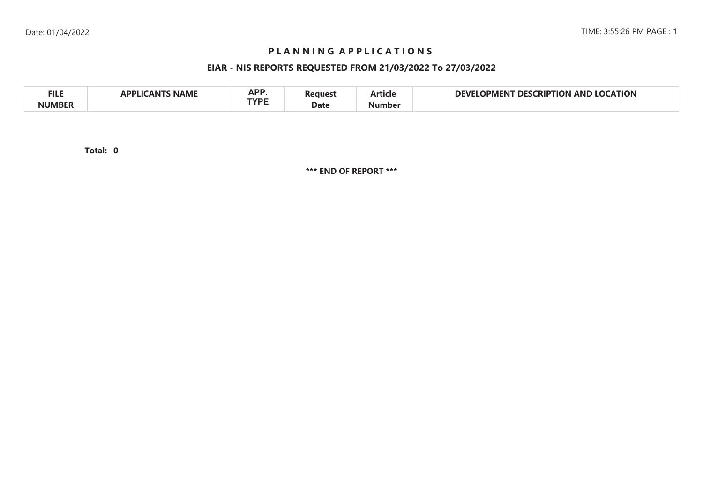# **P L A N N I N G A P P L I C A T I O N S**

# **EIAR - NIS REPORTS REQUESTED FROM 21/03/2022 To 27/03/2022**

| <b>FILE</b>   | <b>NAME</b><br>`A N T<br>ADDI I <i>c</i> | A D D<br>mr i<br>TVDE | ใeaueรา | $-$<br>Article | <b>LOCATION</b><br><b>DEVI</b><br><b>CRIPTION</b><br>DES.<br>JPMENT<br>AND |
|---------------|------------------------------------------|-----------------------|---------|----------------|----------------------------------------------------------------------------|
| <b>NUMBER</b> |                                          |                       | Date    | Number         |                                                                            |

**0Total:**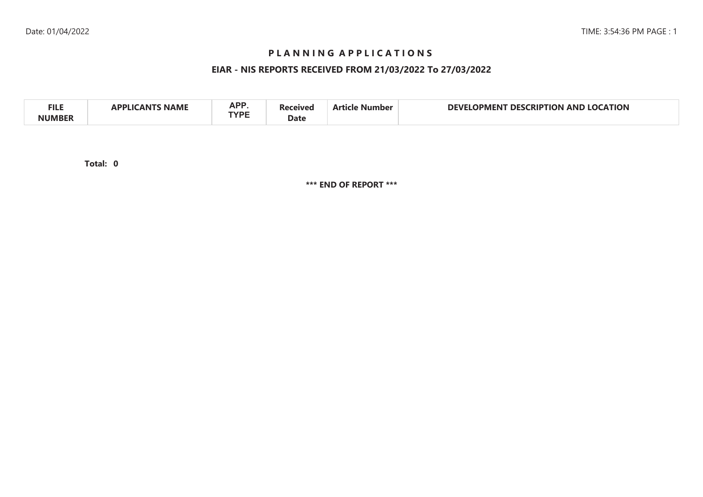# **P L A N N I N G A P P L I C A T I O N S**

# **EIAR - NIS REPORTS RECEIVED FROM 21/03/2022 To 27/03/2022**

| A DD<br><b>FILE</b><br>CATION<br>AP.<br>DEVI<br>no<br>טופו<br>AND<br>HON<br>، ۱۷۵<br>יבור ו<br>1PMFN<br>NAML<br><b>TVDE</b><br>Date |  |
|-------------------------------------------------------------------------------------------------------------------------------------|--|
|-------------------------------------------------------------------------------------------------------------------------------------|--|

**0Total:**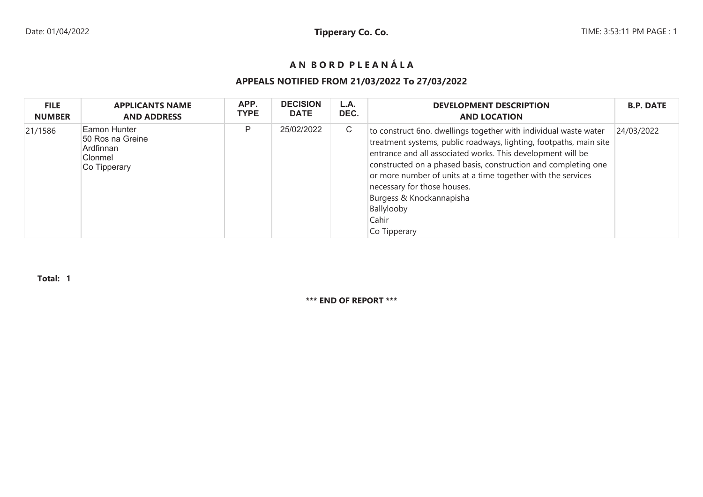# **A N B O R D P L E A N Á L A**

# **APPEALS NOTIFIED FROM 21/03/2022 To 27/03/2022**

| <b>FILE</b>   | <b>APPLICANTS NAME</b>                                                   | APP.        | <b>DECISION</b> | L.A. | <b>DEVELOPMENT DESCRIPTION</b>                                                                                                                                                                                                                                                                                                                                                                                                            | <b>B.P. DATE</b> |
|---------------|--------------------------------------------------------------------------|-------------|-----------------|------|-------------------------------------------------------------------------------------------------------------------------------------------------------------------------------------------------------------------------------------------------------------------------------------------------------------------------------------------------------------------------------------------------------------------------------------------|------------------|
| <b>NUMBER</b> | <b>AND ADDRESS</b>                                                       | <b>TYPE</b> | <b>DATE</b>     | DEC. | <b>AND LOCATION</b>                                                                                                                                                                                                                                                                                                                                                                                                                       |                  |
| 21/1586       | Eamon Hunter<br>50 Ros na Greine<br>Ardfinnan<br>Clonmel<br>Co Tipperary | P           | 25/02/2022      | С    | to construct 6no. dwellings together with individual waste water<br>treatment systems, public roadways, lighting, footpaths, main site<br>entrance and all associated works. This development will be<br>constructed on a phased basis, construction and completing one<br>or more number of units at a time together with the services<br>necessary for those houses.<br>Burgess & Knockannapisha<br>Ballylooby<br>Cahir<br>Co Tipperary | 24/03/2022       |

**Total: 1**